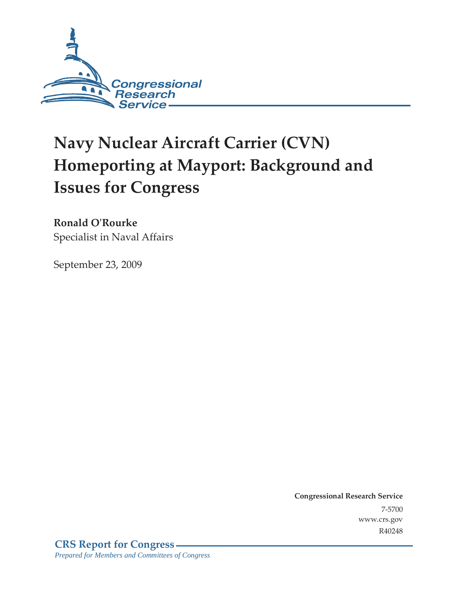

# **Navy Nuclear Aircraft Carrier (CVN) Homeporting at Mayport: Background and Issues for Congress**

## **Ronald O'Rourke**

Specialist in Naval Affairs

September 23, 2009

**Congressional Research Service** 7-5700 www.crs.gov R40248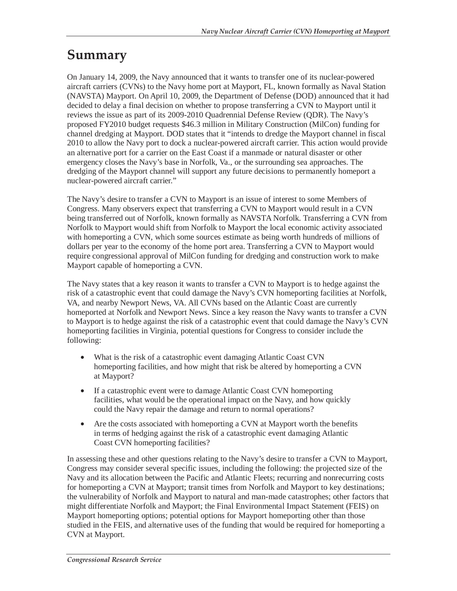## **Summary**

On January 14, 2009, the Navy announced that it wants to transfer one of its nuclear-powered aircraft carriers (CVNs) to the Navy home port at Mayport, FL, known formally as Naval Station (NAVSTA) Mayport. On April 10, 2009, the Department of Defense (DOD) announced that it had decided to delay a final decision on whether to propose transferring a CVN to Mayport until it reviews the issue as part of its 2009-2010 Quadrennial Defense Review (QDR). The Navy's proposed FY2010 budget requests \$46.3 million in Military Construction (MilCon) funding for channel dredging at Mayport. DOD states that it "intends to dredge the Mayport channel in fiscal 2010 to allow the Navy port to dock a nuclear-powered aircraft carrier. This action would provide an alternative port for a carrier on the East Coast if a manmade or natural disaster or other emergency closes the Navy's base in Norfolk, Va., or the surrounding sea approaches. The dredging of the Mayport channel will support any future decisions to permanently homeport a nuclear-powered aircraft carrier."

The Navy's desire to transfer a CVN to Mayport is an issue of interest to some Members of Congress. Many observers expect that transferring a CVN to Mayport would result in a CVN being transferred out of Norfolk, known formally as NAVSTA Norfolk. Transferring a CVN from Norfolk to Mayport would shift from Norfolk to Mayport the local economic activity associated with homeporting a CVN, which some sources estimate as being worth hundreds of millions of dollars per year to the economy of the home port area. Transferring a CVN to Mayport would require congressional approval of MilCon funding for dredging and construction work to make Mayport capable of homeporting a CVN.

The Navy states that a key reason it wants to transfer a CVN to Mayport is to hedge against the risk of a catastrophic event that could damage the Navy's CVN homeporting facilities at Norfolk, VA, and nearby Newport News, VA. All CVNs based on the Atlantic Coast are currently homeported at Norfolk and Newport News. Since a key reason the Navy wants to transfer a CVN to Mayport is to hedge against the risk of a catastrophic event that could damage the Navy's CVN homeporting facilities in Virginia, potential questions for Congress to consider include the following:

- What is the risk of a catastrophic event damaging Atlantic Coast CVN homeporting facilities, and how might that risk be altered by homeporting a CVN at Mayport?
- If a catastrophic event were to damage Atlantic Coast CVN homeporting facilities, what would be the operational impact on the Navy, and how quickly could the Navy repair the damage and return to normal operations?
- Are the costs associated with homeporting a CVN at Mayport worth the benefits in terms of hedging against the risk of a catastrophic event damaging Atlantic Coast CVN homeporting facilities?

In assessing these and other questions relating to the Navy's desire to transfer a CVN to Mayport, Congress may consider several specific issues, including the following: the projected size of the Navy and its allocation between the Pacific and Atlantic Fleets; recurring and nonrecurring costs for homeporting a CVN at Mayport; transit times from Norfolk and Mayport to key destinations; the vulnerability of Norfolk and Mayport to natural and man-made catastrophes; other factors that might differentiate Norfolk and Mayport; the Final Environmental Impact Statement (FEIS) on Mayport homeporting options; potential options for Mayport homeporting other than those studied in the FEIS, and alternative uses of the funding that would be required for homeporting a CVN at Mayport.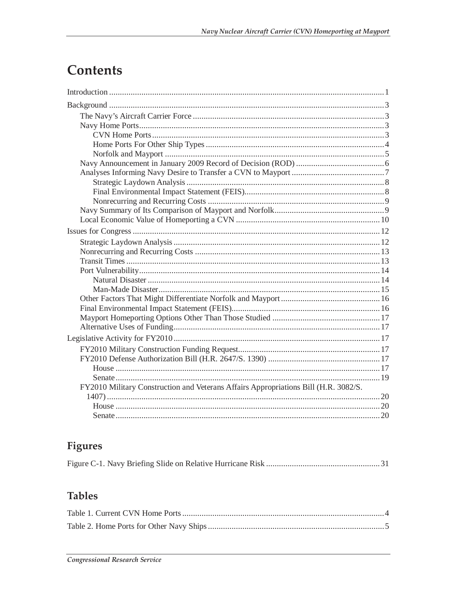# Contents

| FY2010 Military Construction and Veterans Affairs Appropriations Bill (H.R. 3082/S. |  |
|-------------------------------------------------------------------------------------|--|
|                                                                                     |  |
|                                                                                     |  |
|                                                                                     |  |

## **Figures**

|--|--|--|--|

## **Tables**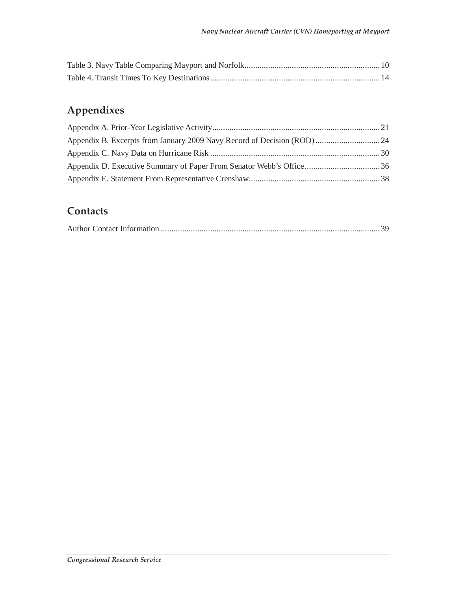## **Appendixes**

## **Contacts**

|--|--|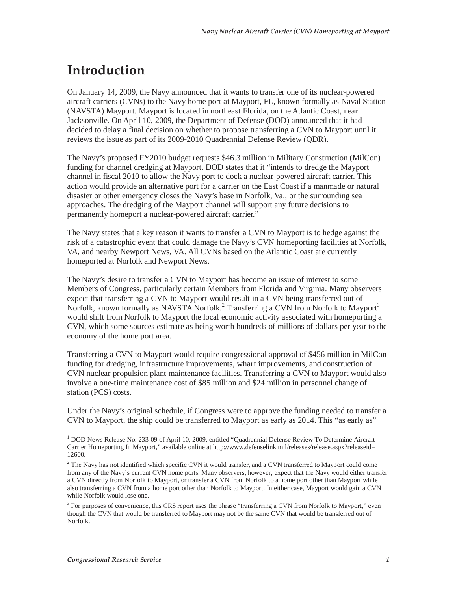## **Introduction**

On January 14, 2009, the Navy announced that it wants to transfer one of its nuclear-powered aircraft carriers (CVNs) to the Navy home port at Mayport, FL, known formally as Naval Station (NAVSTA) Mayport. Mayport is located in northeast Florida, on the Atlantic Coast, near Jacksonville. On April 10, 2009, the Department of Defense (DOD) announced that it had decided to delay a final decision on whether to propose transferring a CVN to Mayport until it reviews the issue as part of its 2009-2010 Quadrennial Defense Review (QDR).

The Navy's proposed FY2010 budget requests \$46.3 million in Military Construction (MilCon) funding for channel dredging at Mayport. DOD states that it "intends to dredge the Mayport channel in fiscal 2010 to allow the Navy port to dock a nuclear-powered aircraft carrier. This action would provide an alternative port for a carrier on the East Coast if a manmade or natural disaster or other emergency closes the Navy's base in Norfolk, Va., or the surrounding sea approaches. The dredging of the Mayport channel will support any future decisions to permanently homeport a nuclear-powered aircraft carrier."

The Navy states that a key reason it wants to transfer a CVN to Mayport is to hedge against the risk of a catastrophic event that could damage the Navy's CVN homeporting facilities at Norfolk, VA, and nearby Newport News, VA. All CVNs based on the Atlantic Coast are currently homeported at Norfolk and Newport News.

The Navy's desire to transfer a CVN to Mayport has become an issue of interest to some Members of Congress, particularly certain Members from Florida and Virginia. Many observers expect that transferring a CVN to Mayport would result in a CVN being transferred out of Norfolk, known formally as NAVSTA Norfolk.<sup>2</sup> Transferring a CVN from Norfolk to Mayport<sup>3</sup> would shift from Norfolk to Mayport the local economic activity associated with homeporting a CVN, which some sources estimate as being worth hundreds of millions of dollars per year to the economy of the home port area.

Transferring a CVN to Mayport would require congressional approval of \$456 million in MilCon funding for dredging, infrastructure improvements, wharf improvements, and construction of CVN nuclear propulsion plant maintenance facilities. Transferring a CVN to Mayport would also involve a one-time maintenance cost of \$85 million and \$24 million in personnel change of station (PCS) costs.

Under the Navy's original schedule, if Congress were to approve the funding needed to transfer a CVN to Mayport, the ship could be transferred to Mayport as early as 2014. This "as early as"

<sup>-</sup><sup>1</sup> DOD News Release No. 233-09 of April 10, 2009, entitled "Quadrennial Defense Review To Determine Aircraft Carrier Homeporting In Mayport," available online at http://www.defenselink.mil/releases/release.aspx?releaseid= 12600.

 $2$  The Navy has not identified which specific CVN it would transfer, and a CVN transferred to Mayport could come from any of the Navy's current CVN home ports. Many observers, however, expect that the Navy would either transfer a CVN directly from Norfolk to Mayport, or transfer a CVN from Norfolk to a home port other than Mayport while also transferring a CVN from a home port other than Norfolk to Mayport. In either case, Mayport would gain a CVN while Norfolk would lose one.

 $3$  For purposes of convenience, this CRS report uses the phrase "transferring a CVN from Norfolk to Mayport," even though the CVN that would be transferred to Mayport may not be the same CVN that would be transferred out of Norfolk.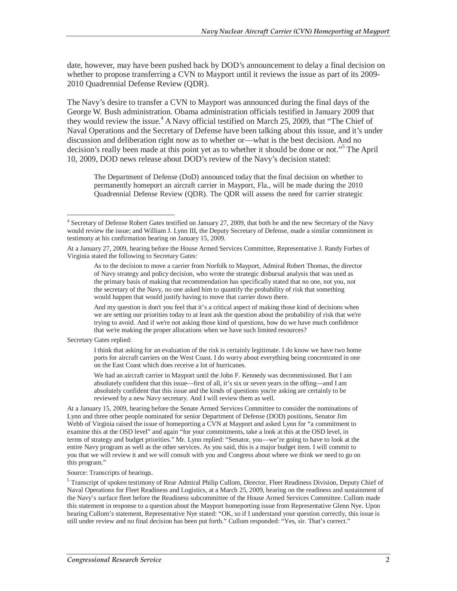date, however, may have been pushed back by DOD's announcement to delay a final decision on whether to propose transferring a CVN to Mayport until it reviews the issue as part of its 2009- 2010 Quadrennial Defense Review (QDR).

The Navy's desire to transfer a CVN to Mayport was announced during the final days of the George W. Bush administration. Obama administration officials testified in January 2009 that they would review the issue.<sup>4</sup> A Navy official testified on March 25, 2009, that "The Chief of Naval Operations and the Secretary of Defense have been talking about this issue, and it's under discussion and deliberation right now as to whether or—what is the best decision. And no decision's really been made at this point yet as to whether it should be done or not."<sup>5</sup> The April 10, 2009, DOD news release about DOD's review of the Navy's decision stated:

The Department of Defense (DoD) announced today that the final decision on whether to permanently homeport an aircraft carrier in Mayport, Fla., will be made during the 2010 Quadrennial Defense Review (QDR). The QDR will assess the need for carrier strategic

And my question is don't you feel that it's a critical aspect of making those kind of decisions when we are setting our priorities today to at least ask the question about the probability of risk that we're trying to avoid. And if we're not asking those kind of questions, how do we have much confidence that we're making the proper allocations when we have such limited resources?

Secretary Gates replied:

I think that asking for an evaluation of the risk is certainly legitimate. I do know we have two home ports for aircraft carriers on the West Coast. I do worry about everything being concentrated in one on the East Coast which does receive a lot of hurricanes.

We had an aircraft carrier in Mayport until the John F. Kennedy was decommissioned. But I am absolutely confident that this issue—first of all, it's six or seven years in the offing—and I am absolutely confident that this issue and the kinds of questions you're asking are certainly to be reviewed by a new Navy secretary. And I will review them as well.

At a January 15, 2009, hearing before the Senate Armed Services Committee to consider the nominations of Lynn and three other people nominated for senior Department of Defense (DOD) positions, Senator Jim Webb of Virginia raised the issue of homeporting a CVN at Mayport and asked Lynn for "a commitment to examine this at the OSD level" and again "for your commitments, take a look at this at the OSD level, in terms of strategy and budget priorities." Mr. Lynn replied: "Senator, you—we're going to have to look at the entire Navy program as well as the other services. As you said, this is a major budget item. I will commit to you that we will review it and we will consult with you and Congress about where we think we need to go on this program."

#### Source: Transcripts of hearings.

<sup>5</sup> Transcript of spoken testimony of Rear Admiral Philip Cullom, Director, Fleet Readiness Division, Deputy Chief of Naval Operations for Fleet Readiness and Logistics, at a March 25, 2009, hearing on the readiness and sustainment of the Navy's surface fleet before the Readiness subcommittee of the House Armed Services Committee. Cullom made this statement in response to a question about the Mayport homeporting issue from Representative Glenn Nye. Upon hearing Cullom's statement, Representative Nye stated: "OK, so if I understand your question correctly, this issue is still under review and no final decision has been put forth." Cullom responded: "Yes, sir. That's correct."

 4 Secretary of Defense Robert Gates testified on January 27, 2009, that both he and the new Secretary of the Navy would review the issue; and William J. Lynn III, the Deputy Secretary of Defense, made a similar commitment in testimony at his confirmation hearing on January 15, 2009.

At a January 27, 2009, hearing before the House Armed Services Committee, Representative J. Randy Forbes of Virginia stated the following to Secretary Gates:

As to the decision to move a carrier from Norfolk to Mayport, Admiral Robert Thomas, the director of Navy strategy and policy decision, who wrote the strategic disbursal analysis that was used as the primary basis of making that recommendation has specifically stated that no one, not you, not the secretary of the Navy, no one asked him to quantify the probability of risk that something would happen that would justify having to move that carrier down there.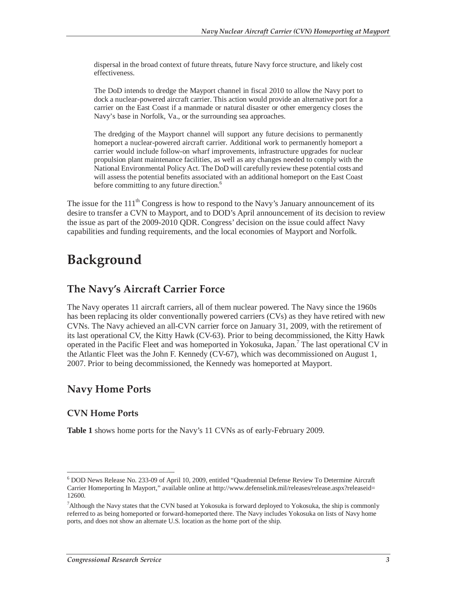dispersal in the broad context of future threats, future Navy force structure, and likely cost effectiveness.

The DoD intends to dredge the Mayport channel in fiscal 2010 to allow the Navy port to dock a nuclear-powered aircraft carrier. This action would provide an alternative port for a carrier on the East Coast if a manmade or natural disaster or other emergency closes the Navy's base in Norfolk, Va., or the surrounding sea approaches.

The dredging of the Mayport channel will support any future decisions to permanently homeport a nuclear-powered aircraft carrier. Additional work to permanently homeport a carrier would include follow-on wharf improvements, infrastructure upgrades for nuclear propulsion plant maintenance facilities, as well as any changes needed to comply with the National Environmental Policy Act. The DoD will carefully review these potential costs and will assess the potential benefits associated with an additional homeport on the East Coast before committing to any future direction.<sup>6</sup>

The issue for the  $111<sup>th</sup>$  Congress is how to respond to the Navy's January announcement of its desire to transfer a CVN to Mayport, and to DOD's April announcement of its decision to review the issue as part of the 2009-2010 QDR. Congress' decision on the issue could affect Navy capabilities and funding requirements, and the local economies of Mayport and Norfolk.

## **Background**

#### **The Navy's Aircraft Carrier Force**

The Navy operates 11 aircraft carriers, all of them nuclear powered. The Navy since the 1960s has been replacing its older conventionally powered carriers (CVs) as they have retired with new CVNs. The Navy achieved an all-CVN carrier force on January 31, 2009, with the retirement of its last operational CV, the Kitty Hawk (CV-63). Prior to being decommissioned, the Kitty Hawk operated in the Pacific Fleet and was homeported in Yokosuka, Japan.<sup>7</sup> The last operational CV in the Atlantic Fleet was the John F. Kennedy (CV-67), which was decommissioned on August 1, 2007. Prior to being decommissioned, the Kennedy was homeported at Mayport.

### **Navy Home Ports**

#### **CVN Home Ports**

**Table 1** shows home ports for the Navy's 11 CVNs as of early-February 2009.

<sup>-</sup><sup>6</sup> DOD News Release No. 233-09 of April 10, 2009, entitled "Quadrennial Defense Review To Determine Aircraft Carrier Homeporting In Mayport," available online at http://www.defenselink.mil/releases/release.aspx?releaseid= 12600.

<sup>&</sup>lt;sup>7</sup> Although the Navy states that the CVN based at Yokosuka is forward deployed to Yokosuka, the ship is commonly referred to as being homeported or forward-homeported there. The Navy includes Yokosuka on lists of Navy home ports, and does not show an alternate U.S. location as the home port of the ship.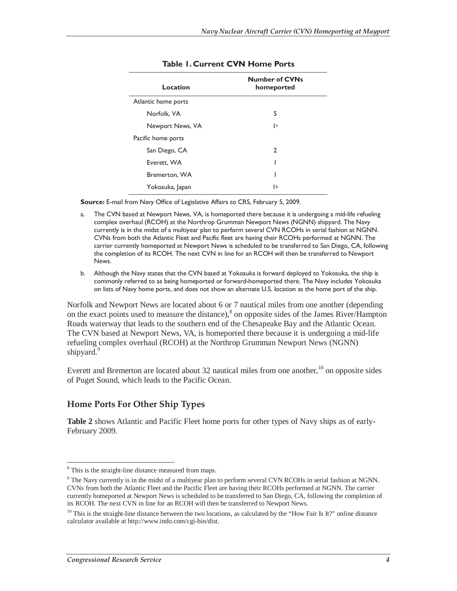| Location            | <b>Number of CVNs</b><br>homeported |
|---------------------|-------------------------------------|
| Atlantic home ports |                                     |
| Norfolk, VA         | 5                                   |
| Newport News, VA    | a                                   |
| Pacific home ports  |                                     |
| San Diego, CA       | 2                                   |
| Everett, WA         |                                     |
| Bremerton, WA       |                                     |
| Yokosuka, Japan     | IЬ                                  |

#### **Table 1. Current CVN Home Ports**

**Source:** E-mail from Navy Office of Legislative Affairs to CRS, February 5, 2009.

- a. The CVN based at Newport News, VA, is homeported there because it is undergoing a mid-life refueling complex overhaul (RCOH) at the Northrop Grumman Newport News (NGNN) shipyard. The Navy currently is in the midst of a multiyear plan to perform several CVN RCOHs in serial fashion at NGNN. CVNs from both the Atlantic Fleet and Pacific fleet are having their RCOHs performed at NGNN. The carrier currently homeported at Newport News is scheduled to be transferred to San Diego, CA, following the completion of its RCOH. The next CVN in line for an RCOH will then be transferred to Newport News.
- b. Although the Navy states that the CVN based at Yokosuka is forward deployed to Yokosuka, the ship is commonly referred to as being homeported or forward-homeported there. The Navy includes Yokosuka on lists of Navy home ports, and does not show an alternate U.S. location as the home port of the ship.

Norfolk and Newport News are located about 6 or 7 nautical miles from one another (depending on the exact points used to measure the distance),<sup>8</sup> on opposite sides of the James River/Hampton Roads waterway that leads to the southern end of the Chesapeake Bay and the Atlantic Ocean. The CVN based at Newport News, VA, is homeported there because it is undergoing a mid-life refueling complex overhaul (RCOH) at the Northrop Grumman Newport News (NGNN) shipyard.<sup>9</sup>

Everett and Bremerton are located about 32 nautical miles from one another,<sup>10</sup> on opposite sides of Puget Sound, which leads to the Pacific Ocean.

#### **Home Ports For Other Ship Types**

**Table 2** shows Atlantic and Pacific Fleet home ports for other types of Navy ships as of early-February 2009.

 $\overline{a}$ <sup>8</sup> This is the straight-line distance measured from maps.

<sup>&</sup>lt;sup>9</sup> The Navy currently is in the midst of a multiyear plan to perform several CVN RCOHs in serial fashion at NGNN. CVNs from both the Atlantic Fleet and the Pacific Fleet are having their RCOHs performed at NGNN. The carrier currently homeported at Newport News is scheduled to be transferred to San Diego, CA, following the completion of its RCOH. The next CVN in line for an RCOH will then be transferred to Newport News.

 $10$  This is the straight-line distance between the two locations, as calculated by the "How Fair Is It?" online distance calculator available at http://www.indo.com/cgi-bin/dist.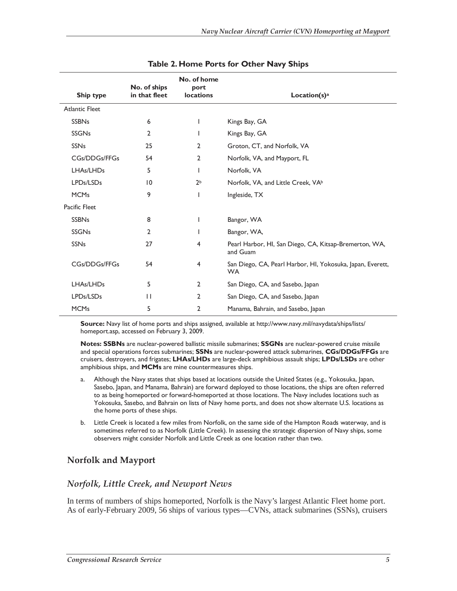| Ship type             | No. of ships<br>in that fleet | No. of home<br>port<br><b>locations</b> | Location(s) <sup>a</sup>                                                |
|-----------------------|-------------------------------|-----------------------------------------|-------------------------------------------------------------------------|
| <b>Atlantic Fleet</b> |                               |                                         |                                                                         |
| <b>SSBNs</b>          | 6                             | L                                       | Kings Bay, GA                                                           |
| <b>SSGNs</b>          | $\overline{2}$                |                                         | Kings Bay, GA                                                           |
| <b>SSNs</b>           | 25                            | $\overline{2}$                          | Groton, CT, and Norfolk, VA                                             |
| <b>CGs/DDGs/FFGs</b>  | 54                            | $\overline{2}$                          | Norfolk, VA, and Mayport, FL                                            |
| LHAs/LHDs             | 5                             | L                                       | Norfolk, VA                                                             |
| LPDs/LSDs             | 10                            | 2 <sub>b</sub>                          | Norfolk, VA, and Little Creek, VA <sup>b</sup>                          |
| <b>MCMs</b>           | 9                             |                                         | Ingleside, TX                                                           |
| Pacific Fleet         |                               |                                         |                                                                         |
| <b>SSBNs</b>          | 8                             | L                                       | Bangor, WA                                                              |
| <b>SSGNs</b>          | $\overline{2}$                |                                         | Bangor, WA,                                                             |
| <b>SSNs</b>           | 27                            | 4                                       | Pearl Harbor, HI, San Diego, CA, Kitsap-Bremerton, WA,<br>and Guam      |
| <b>CGs/DDGs/FFGs</b>  | 54                            | $\overline{4}$                          | San Diego, CA, Pearl Harbor, HI, Yokosuka, Japan, Everett,<br><b>WA</b> |
| LHAs/LHDs             | 5                             | $\overline{2}$                          | San Diego, CA, and Sasebo, Japan                                        |
| LPDs/LSDs             | $\mathbf{H}$                  | 2                                       | San Diego, CA, and Sasebo, Japan                                        |
| <b>MCMs</b>           | 5                             | 2                                       | Manama, Bahrain, and Sasebo, Japan                                      |

| Table 2. Home Ports for Other Navy Ships |  |  |  |  |
|------------------------------------------|--|--|--|--|
|------------------------------------------|--|--|--|--|

**Source:** Navy list of home ports and ships assigned, available at http://www.navy.mil/navydata/ships/lists/ homeport.asp, accessed on February 3, 2009.

**Notes: SSBNs** are nuclear-powered ballistic missile submarines; **SSGNs** are nuclear-powered cruise missile and special operations forces submarines; **SSNs** are nuclear-powered attack submarines, **CGs/DDGs/FFGs** are cruisers, destroyers, and frigates; **LHAs/LHDs** are large-deck amphibious assault ships; **LPDs/LSDs** are other amphibious ships, and **MCMs** are mine countermeasures ships.

- a. Although the Navy states that ships based at locations outside the United States (e.g., Yokosuka, Japan, Sasebo, Japan, and Manama, Bahrain) are forward deployed to those locations, the ships are often referred to as being homeported or forward-homeported at those locations. The Navy includes locations such as Yokosuka, Sasebo, and Bahrain on lists of Navy home ports, and does not show alternate U.S. locations as the home ports of these ships.
- b. Little Creek is located a few miles from Norfolk, on the same side of the Hampton Roads waterway, and is sometimes referred to as Norfolk (Little Creek). In assessing the strategic dispersion of Navy ships, some observers might consider Norfolk and Little Creek as one location rather than two.

#### **Norfolk and Mayport**

#### *Norfolk, Little Creek, and Newport News*

In terms of numbers of ships homeported, Norfolk is the Navy's largest Atlantic Fleet home port. As of early-February 2009, 56 ships of various types—CVNs, attack submarines (SSNs), cruisers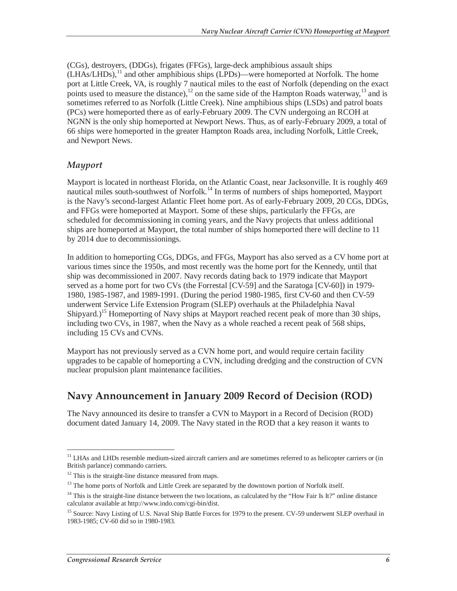(CGs), destroyers, (DDGs), frigates (FFGs), large-deck amphibious assault ships  $(LHAs/LHDs)$ ,<sup>11</sup> and other amphibious ships  $(LPDs)$ —were homeported at Norfolk. The home port at Little Creek, VA, is roughly 7 nautical miles to the east of Norfolk (depending on the exact points used to measure the distance),  $12$  on the same side of the Hampton Roads waterway,  $13$  and is sometimes referred to as Norfolk (Little Creek). Nine amphibious ships (LSDs) and patrol boats (PCs) were homeported there as of early-February 2009. The CVN undergoing an RCOH at NGNN is the only ship homeported at Newport News. Thus, as of early-February 2009, a total of 66 ships were homeported in the greater Hampton Roads area, including Norfolk, Little Creek, and Newport News.

#### *Mayport*

Mayport is located in northeast Florida, on the Atlantic Coast, near Jacksonville. It is roughly 469 nautical miles south-southwest of Norfolk.<sup>14</sup> In terms of numbers of ships homeported, Mayport is the Navy's second-largest Atlantic Fleet home port. As of early-February 2009, 20 CGs, DDGs, and FFGs were homeported at Mayport. Some of these ships, particularly the FFGs, are scheduled for decommissioning in coming years, and the Navy projects that unless additional ships are homeported at Mayport, the total number of ships homeported there will decline to 11 by 2014 due to decommissionings.

In addition to homeporting CGs, DDGs, and FFGs, Mayport has also served as a CV home port at various times since the 1950s, and most recently was the home port for the Kennedy, until that ship was decommissioned in 2007. Navy records dating back to 1979 indicate that Mayport served as a home port for two CVs (the Forrestal [CV-59] and the Saratoga [CV-60]) in 1979- 1980, 1985-1987, and 1989-1991. (During the period 1980-1985, first CV-60 and then CV-59 underwent Service Life Extension Program (SLEP) overhauls at the Philadelphia Naval Shipyard.)<sup>15</sup> Homeporting of Navy ships at Mayport reached recent peak of more than 30 ships, including two CVs, in 1987, when the Navy as a whole reached a recent peak of 568 ships, including 15 CVs and CVNs.

Mayport has not previously served as a CVN home port, and would require certain facility upgrades to be capable of homeporting a CVN, including dredging and the construction of CVN nuclear propulsion plant maintenance facilities.

### **Navy Announcement in January 2009 Record of Decision (ROD)**

The Navy announced its desire to transfer a CVN to Mayport in a Record of Decision (ROD) document dated January 14, 2009. The Navy stated in the ROD that a key reason it wants to

 $\overline{a}$ 

<sup>&</sup>lt;sup>11</sup> LHAs and LHDs resemble medium-sized aircraft carriers and are sometimes referred to as helicopter carriers or (in British parlance) commando carriers.

 $12$  This is the straight-line distance measured from maps.

<sup>&</sup>lt;sup>13</sup> The home ports of Norfolk and Little Creek are separated by the downtown portion of Norfolk itself.

 $14$  This is the straight-line distance between the two locations, as calculated by the "How Fair Is It?" online distance calculator available at http://www.indo.com/cgi-bin/dist.

<sup>&</sup>lt;sup>15</sup> Source: Navy Listing of U.S. Naval Ship Battle Forces for 1979 to the present. CV-59 underwent SLEP overhaul in 1983-1985; CV-60 did so in 1980-1983.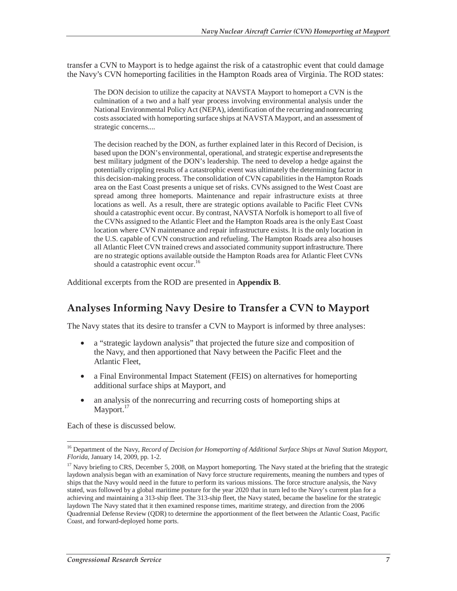transfer a CVN to Mayport is to hedge against the risk of a catastrophic event that could damage the Navy's CVN homeporting facilities in the Hampton Roads area of Virginia. The ROD states:

The DON decision to utilize the capacity at NAVSTA Mayport to homeport a CVN is the culmination of a two and a half year process involving environmental analysis under the National Environmental Policy Act (NEPA), identification of the recurring and nonrecurring costs associated with homeporting surface ships at NAVSTA Mayport, and an assessment of strategic concerns....

The decision reached by the DON, as further explained later in this Record of Decision, is based upon the DON's environmental, operational, and strategic expertise and represents the best military judgment of the DON's leadership. The need to develop a hedge against the potentially crippling results of a catastrophic event was ultimately the determining factor in this decision-making process. The consolidation of CVN capabilities in the Hampton Roads area on the East Coast presents a unique set of risks. CVNs assigned to the West Coast are spread among three homeports. Maintenance and repair infrastructure exists at three locations as well. As a result, there are strategic options available to Pacific Fleet CVNs should a catastrophic event occur. By contrast, NAVSTA Norfolk is homeport to all five of the CVNs assigned to the Atlantic Fleet and the Hampton Roads area is the only East Coast location where CVN maintenance and repair infrastructure exists. It is the only location in the U.S. capable of CVN construction and refueling. The Hampton Roads area also houses all Atlantic Fleet CVN trained crews and associated community support infrastructure. There are no strategic options available outside the Hampton Roads area for Atlantic Fleet CVNs should a catastrophic event occur.<sup>16</sup>

Additional excerpts from the ROD are presented in **Appendix B**.

### **Analyses Informing Navy Desire to Transfer a CVN to Mayport**

The Navy states that its desire to transfer a CVN to Mayport is informed by three analyses:

- a "strategic laydown analysis" that projected the future size and composition of the Navy, and then apportioned that Navy between the Pacific Fleet and the Atlantic Fleet,
- a Final Environmental Impact Statement (FEIS) on alternatives for homeporting additional surface ships at Mayport, and
- an analysis of the nonrecurring and recurring costs of homeporting ships at Mayport.<sup>17</sup>

Each of these is discussed below.

<sup>-</sup>16 Department of the Navy, *Record of Decision for Homeporting of Additional Surface Ships at Naval Station Mayport, Florida*, January 14, 2009, pp. 1-2.

<sup>&</sup>lt;sup>17</sup> Navy briefing to CRS, December 5, 2008, on Mayport homeporting. The Navy stated at the briefing that the strategic laydown analysis began with an examination of Navy force structure requirements, meaning the numbers and types of ships that the Navy would need in the future to perform its various missions. The force structure analysis, the Navy stated, was followed by a global maritime posture for the year 2020 that in turn led to the Navy's current plan for a achieving and maintaining a 313-ship fleet. The 313-ship fleet, the Navy stated, became the baseline for the strategic laydown The Navy stated that it then examined response times, maritime strategy, and direction from the 2006 Quadrennial Defense Review (QDR) to determine the apportionment of the fleet between the Atlantic Coast, Pacific Coast, and forward-deployed home ports.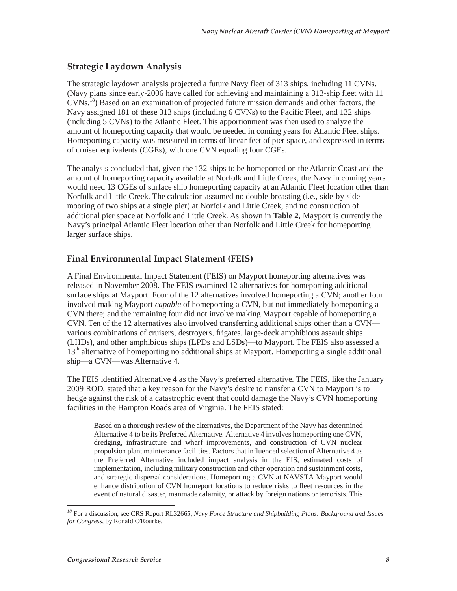#### **Strategic Laydown Analysis**

The strategic laydown analysis projected a future Navy fleet of 313 ships, including 11 CVNs. (Navy plans since early-2006 have called for achieving and maintaining a 313-ship fleet with 11 CVNs.18) Based on an examination of projected future mission demands and other factors, the Navy assigned 181 of these 313 ships (including 6 CVNs) to the Pacific Fleet, and 132 ships (including 5 CVNs) to the Atlantic Fleet. This apportionment was then used to analyze the amount of homeporting capacity that would be needed in coming years for Atlantic Fleet ships. Homeporting capacity was measured in terms of linear feet of pier space, and expressed in terms of cruiser equivalents (CGEs), with one CVN equaling four CGEs.

The analysis concluded that, given the 132 ships to be homeported on the Atlantic Coast and the amount of homeporting capacity available at Norfolk and Little Creek, the Navy in coming years would need 13 CGEs of surface ship homeporting capacity at an Atlantic Fleet location other than Norfolk and Little Creek. The calculation assumed no double-breasting (i.e., side-by-side mooring of two ships at a single pier) at Norfolk and Little Creek, and no construction of additional pier space at Norfolk and Little Creek. As shown in **Table 2**, Mayport is currently the Navy's principal Atlantic Fleet location other than Norfolk and Little Creek for homeporting larger surface ships.

#### **Final Environmental Impact Statement (FEIS)**

A Final Environmental Impact Statement (FEIS) on Mayport homeporting alternatives was released in November 2008. The FEIS examined 12 alternatives for homeporting additional surface ships at Mayport. Four of the 12 alternatives involved homeporting a CVN; another four involved making Mayport *capable* of homeporting a CVN, but not immediately homeporting a CVN there; and the remaining four did not involve making Mayport capable of homeporting a CVN. Ten of the 12 alternatives also involved transferring additional ships other than a CVN various combinations of cruisers, destroyers, frigates, large-deck amphibious assault ships (LHDs), and other amphibious ships (LPDs and LSDs)—to Mayport. The FEIS also assessed a  $13<sup>th</sup>$  alternative of homeporting no additional ships at Mayport. Homeporting a single additional ship—a CVN—was Alternative 4.

The FEIS identified Alternative 4 as the Navy's preferred alternative. The FEIS, like the January 2009 ROD, stated that a key reason for the Navy's desire to transfer a CVN to Mayport is to hedge against the risk of a catastrophic event that could damage the Navy's CVN homeporting facilities in the Hampton Roads area of Virginia. The FEIS stated:

Based on a thorough review of the alternatives, the Department of the Navy has determined Alternative 4 to be its Preferred Alternative. Alternative 4 involves homeporting one CVN, dredging, infrastructure and wharf improvements, and construction of CVN nuclear propulsion plant maintenance facilities. Factors that influenced selection of Alternative 4 as the Preferred Alternative included impact analysis in the EIS, estimated costs of implementation, including military construction and other operation and sustainment costs, and strategic dispersal considerations. Homeporting a CVN at NAVSTA Mayport would enhance distribution of CVN homeport locations to reduce risks to fleet resources in the event of natural disaster, manmade calamity, or attack by foreign nations or terrorists. This

*<sup>18</sup>* For a discussion, see CRS Report RL32665, *Navy Force Structure and Shipbuilding Plans: Background and Issues for Congress*, by Ronald O'Rourke.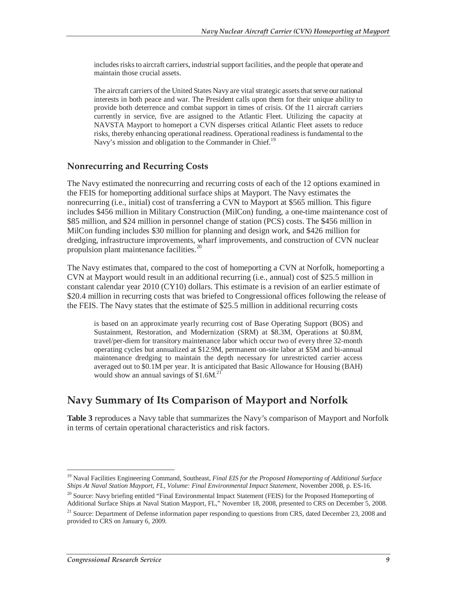includes risks to aircraft carriers, industrial support facilities, and the people that operate and maintain those crucial assets.

The aircraft carriers of the United States Navy are vital strategic assets that serve our national interests in both peace and war. The President calls upon them for their unique ability to provide both deterrence and combat support in times of crisis. Of the 11 aircraft carriers currently in service, five are assigned to the Atlantic Fleet. Utilizing the capacity at NAVSTA Mayport to homeport a CVN disperses critical Atlantic Fleet assets to reduce risks, thereby enhancing operational readiness. Operational readiness is fundamental to the Navy's mission and obligation to the Commander in Chief.<sup>19</sup>

#### **Nonrecurring and Recurring Costs**

The Navy estimated the nonrecurring and recurring costs of each of the 12 options examined in the FEIS for homeporting additional surface ships at Mayport. The Navy estimates the nonrecurring (i.e., initial) cost of transferring a CVN to Mayport at \$565 million. This figure includes \$456 million in Military Construction (MilCon) funding, a one-time maintenance cost of \$85 million, and \$24 million in personnel change of station (PCS) costs. The \$456 million in MilCon funding includes \$30 million for planning and design work, and \$426 million for dredging, infrastructure improvements, wharf improvements, and construction of CVN nuclear propulsion plant maintenance facilities.<sup>20</sup>

The Navy estimates that, compared to the cost of homeporting a CVN at Norfolk, homeporting a CVN at Mayport would result in an additional recurring (i.e., annual) cost of \$25.5 million in constant calendar year 2010 (CY10) dollars. This estimate is a revision of an earlier estimate of \$20.4 million in recurring costs that was briefed to Congressional offices following the release of the FEIS. The Navy states that the estimate of \$25.5 million in additional recurring costs

is based on an approximate yearly recurring cost of Base Operating Support (BOS) and Sustainment, Restoration, and Modernization (SRM) at \$8.3M, Operations at \$0.8M, travel/per-diem for transitory maintenance labor which occur two of every three 32-month operating cycles but annualized at \$12.9M, permanent on-site labor at \$5M and bi-annual maintenance dredging to maintain the depth necessary for unrestricted carrier access averaged out to \$0.1M per year. It is anticipated that Basic Allowance for Housing (BAH) would show an annual savings of  $$1.6M<sup>2</sup>$ .

## **Navy Summary of Its Comparison of Mayport and Norfolk**

**Table 3** reproduces a Navy table that summarizes the Navy's comparison of Mayport and Norfolk in terms of certain operational characteristics and risk factors.

<sup>-</sup>19 Naval Facilities Engineering Command, Southeast, *Final EIS for the Proposed Homeporting of Additional Surface Ships At Naval Station Mayport, FL, Volume: Final Environmental Impact Statement*, November 2008, p. ES-16.

<sup>&</sup>lt;sup>20</sup> Source: Navy briefing entitled "Final Environmental Impact Statement (FEIS) for the Proposed Homeporting of Additional Surface Ships at Naval Station Mayport, FL," November 18, 2008, presented to CRS on December 5, 2008.

<sup>&</sup>lt;sup>21</sup> Source: Department of Defense information paper responding to questions from CRS, dated December 23, 2008 and provided to CRS on January 6, 2009.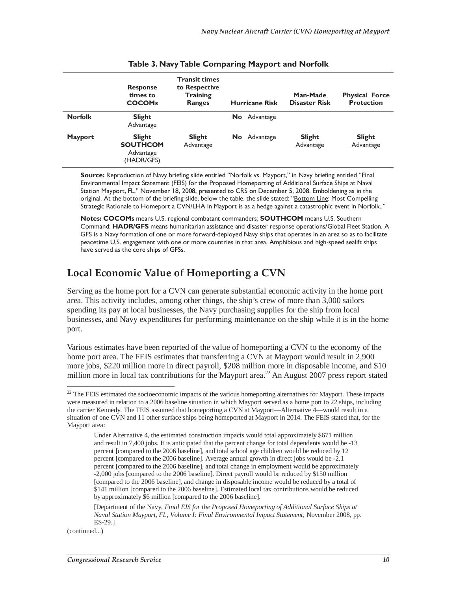|                | <b>Response</b><br>times to<br><b>COCOMs</b>                | <b>Transit times</b><br>to Respective<br><b>Training</b><br><b>Ranges</b> | <b>Hurricane Risk</b> | Man-Made<br><b>Disaster Risk</b> | <b>Physical Force</b><br><b>Protection</b> |
|----------------|-------------------------------------------------------------|---------------------------------------------------------------------------|-----------------------|----------------------------------|--------------------------------------------|
| <b>Norfolk</b> | <b>Slight</b><br>Advantage                                  |                                                                           | No Advantage          |                                  |                                            |
| <b>Mayport</b> | <b>Slight</b><br><b>SOUTHCOM</b><br>Advantage<br>(HADR/GFS) | Slight<br>Advantage                                                       | <b>No</b> Advantage   | <b>Slight</b><br>Advantage       | <b>Slight</b><br>Advantage                 |

|  |  |  |  | Table 3. Navy Table Comparing Mayport and Norfolk |
|--|--|--|--|---------------------------------------------------|
|--|--|--|--|---------------------------------------------------|

**Source:** Reproduction of Navy briefing slide entitled "Norfolk vs. Mayport," in Navy briefing entitled "Final Environmental Impact Statement (FEIS) for the Proposed Homeporting of Additional Surface Ships at Naval Station Mayport, FL," November 18, 2008, presented to CRS on December 5, 2008. Emboldening as in the original. At the bottom of the briefing slide, below the table, the slide stated: "Bottom Line: Most Compelling Strategic Rationale to Homeport a CVN/LHA in Mayport is as a hedge against a catastrophic event in Norfolk.."

**Notes: COCOMs** means U.S. regional combatant commanders; **SOUTHCOM** means U.S. Southern Command; **HADR/GFS** means humanitarian assistance and disaster response operations/Global Fleet Station. A GFS is a Navy formation of one or more forward-deployed Navy ships that operates in an area so as to facilitate peacetime U.S. engagement with one or more countries in that area. Amphibious and high-speed sealift ships have served as the core ships of GFSs.

### **Local Economic Value of Homeporting a CVN**

Serving as the home port for a CVN can generate substantial economic activity in the home port area. This activity includes, among other things, the ship's crew of more than 3,000 sailors spending its pay at local businesses, the Navy purchasing supplies for the ship from local businesses, and Navy expenditures for performing maintenance on the ship while it is in the home port.

Various estimates have been reported of the value of homeporting a CVN to the economy of the home port area. The FEIS estimates that transferring a CVN at Mayport would result in 2,900 more jobs, \$220 million more in direct payroll, \$208 million more in disposable income, and \$10 million more in local tax contributions for the Mayport area.<sup>22</sup> An August 2007 press report stated

(continued...)

 $22$  The FEIS estimated the socioeconomic impacts of the various homeporting alternatives for Mayport. These impacts were measured in relation to a 2006 baseline situation in which Mayport served as a home port to 22 ships, including the carrier Kennedy. The FEIS assumed that homeporting a CVN at Mayport—Alternative 4—would result in a situation of one CVN and 11 other surface ships being homeported at Mayport in 2014. The FEIS stated that, for the Mayport area:

Under Alternative 4, the estimated construction impacts would total approximately \$671 million and result in 7,400 jobs. It is anticipated that the percent change for total dependents would be -13 percent [compared to the 2006 baseline], and total school age children would be reduced by 12 percent [compared to the 2006 baseline]. Average annual growth in direct jobs would be -2.1 percent [compared to the 2006 baseline], and total change in employment would be approximately -2,000 jobs [compared to the 2006 baseline]. Direct payroll would be reduced by \$150 million [compared to the 2006 baseline], and change in disposable income would be reduced by a total of \$141 million [compared to the 2006 baseline]. Estimated local tax contributions would be reduced by approximately \$6 million [compared to the 2006 baseline].

<sup>[</sup>Department of the Navy, *Final EIS for the Proposed Homeporting of Additional Surface Ships at Naval Station Mayport, FL, Volume I: Final Environmental Impact Statement*, November 2008, pp. ES-29.]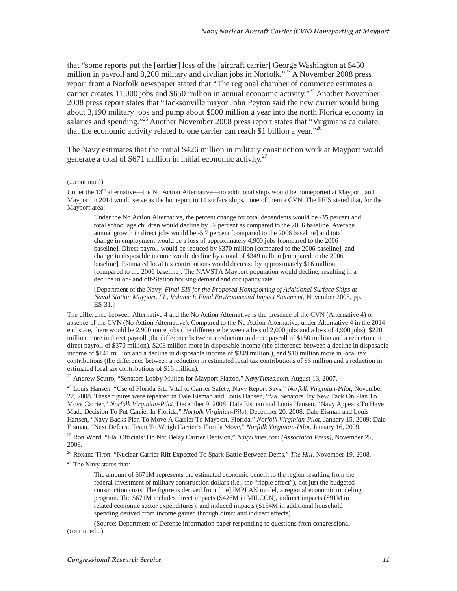that "some reports put the [earlier] loss of the [aircraft carrier] George Washington at \$450 million in payroll and 8,200 military and civilian jobs in Norfolk."<sup>23</sup> A November 2008 press report from a Norfolk newspaper stated that "The regional chamber of commerce estimates a carrier creates 11,000 jobs and \$650 million in annual economic activity."<sup>24</sup> Another November 2008 press report states that "Jacksonville mayor John Peyton said the new carrier would bring about 3,190 military jobs and pump about \$500 million a year into the north Florida economy in salaries and spending."<sup>25</sup> Another November 2008 press report states that "Virginians calculate that the economic activity related to one carrier can reach \$1 billion a year."<sup>26</sup>

The Navy estimates that the initial \$426 million in military construction work at Mayport would generate a total of  $$671$  million in initial economic activity.<sup>27</sup>

(...continued)

-

Under the No Action Alternative, the percent change for total dependents would be -35 percent and total school age children would decline by 32 percent as compared to the 2006 baseline. Average annual growth in direct jobs would be -5.7 percent [compared to the 2006 baseline] and total change in employment would be a loss of approximately 4,900 jobs [compared to the 2006 baseline]. Direct payroll would be reduced by \$370 million [compared to the 2006 baseline], and change in disposable income would decline by a total of \$349 million [compared to the 2006 baseline]. Estimated local tax contributions would decrease by approximately \$16 million [compared to the 2006 baseline]. The NAVSTA Mayport population would decline, resulting in a decline in on- and off-Station housing demand and occupancy rate.

[Department of the Navy, *Final EIS for the Proposed Homeporting of Additional Surface Ships at Naval Station Mayport, FL, Volume I: Final Environmental Impact Statement*, November 2008, pp. ES-31.]

The difference between Alternative 4 and the No Action Alternative is the presence of the CVN (Alternative 4) or absence of the CVN (No Action Alternative). Compared to the No Action Alternative, under Alternative 4 in the 2014 end state, there would be 2,900 more jobs (the difference between a loss of 2,000 jobs and a loss of 4,900 jobs), \$220 million more in direct payroll (the difference between a reduction in direct payroll of \$150 million and a reduction in direct payroll of \$370 million), \$208 million more in disposable income (the difference between a decline in disposable income of \$141 million and a decline in disposable income of \$349 million.), and \$10 million more in local tax contributions (the difference between a reduction in estimated local tax contributions of \$6 million and a reduction in estimated local tax contributions of \$16 million).

23 Andrew Scutro, "Senators Lobby Mullen for Mayport Flattop," *NavyTimes.com*, August 13, 2007.

24 Louis Hansen, "Use of Florida Site Vital to Carrier Safety, Navy Report Says," *Norfolk Virginian-Pilot*, November 22, 2008. These figures were repeated in Dale Eisman and Louis Hansen, "Va. Senators Try New Tack On Plan To Move Carrier," *Norfolk Virginian-Pilot*, December 9, 2008; Dale Eisman and Louis Hansen, "Navy Appears To Have Made Decision To Put Carrier In Florida," *Norfolk Virginian-Pilot*, December 20, 2008; Dale Eisman and Louis Hansen, "Navy Backs Plan To Move A Carrier To Mayport, Florida," *Norfolk Virginian-Pilot*, January 15, 2009; Dale Eisman, "Next Defense Team To Weigh Carrier's Florida Move," *Norfolk Virginian-Pilot*, January 16, 2009.

25 Ron Word, "Fla. Officials: Do Not Delay Carrier Decision," *NavyTimes.com (Associated Press)*, November 25, 2008.

26 Roxana Tiron, "Nuclear Carrier Rift Expected To Spark Battle Between Dems," *The Hill*, November 19, 2008.

<sup>27</sup> The Navy states that:

The amount of \$671M represents the estimated economic benefit to the region resulting from the federal investment of military construction dollars (i.e., the "ripple effect"), not just the budgeted construction costs. The figure is derived from [the] IMPLAN model, a regional economic modeling program. The \$671M includes direct impacts (\$426M in MILCON), indirect impacts (\$91M in related economic sector expenditures), and induced impacts (\$154M in additional household spending derived from income gained through direct and indirect effects).

(Source: Department of Defense information paper responding to questions from congressional (continued...)

Under the  $13<sup>th</sup>$  alternative—the No Action Alternative—no additional ships would be homeported at Mayport, and Mayport in 2014 would serve as the homeport to 11 surface ships, none of them a CVN. The FEIS stated that, for the Mayport area: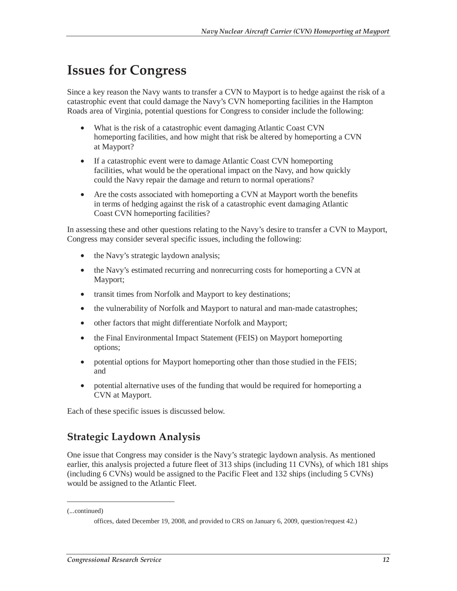## **Issues for Congress**

Since a key reason the Navy wants to transfer a CVN to Mayport is to hedge against the risk of a catastrophic event that could damage the Navy's CVN homeporting facilities in the Hampton Roads area of Virginia, potential questions for Congress to consider include the following:

- What is the risk of a catastrophic event damaging Atlantic Coast CVN homeporting facilities, and how might that risk be altered by homeporting a CVN at Mayport?
- If a catastrophic event were to damage Atlantic Coast CVN homeporting facilities, what would be the operational impact on the Navy, and how quickly could the Navy repair the damage and return to normal operations?
- Are the costs associated with homeporting a CVN at Mayport worth the benefits in terms of hedging against the risk of a catastrophic event damaging Atlantic Coast CVN homeporting facilities?

In assessing these and other questions relating to the Navy's desire to transfer a CVN to Mayport, Congress may consider several specific issues, including the following:

- the Navy's strategic laydown analysis;
- the Navy's estimated recurring and nonrecurring costs for homeporting a CVN at Mayport;
- transit times from Norfolk and Mayport to key destinations;
- the vulnerability of Norfolk and Mayport to natural and man-made catastrophes;
- other factors that might differentiate Norfolk and Mayport;
- the Final Environmental Impact Statement (FEIS) on Mayport homeporting options;
- potential options for Mayport homeporting other than those studied in the FEIS; and
- potential alternative uses of the funding that would be required for homeporting a CVN at Mayport.

Each of these specific issues is discussed below.

## **Strategic Laydown Analysis**

One issue that Congress may consider is the Navy's strategic laydown analysis. As mentioned earlier, this analysis projected a future fleet of 313 ships (including 11 CVNs), of which 181 ships (including 6 CVNs) would be assigned to the Pacific Fleet and 132 ships (including 5 CVNs) would be assigned to the Atlantic Fleet.

(...continued)

offices, dated December 19, 2008, and provided to CRS on January 6, 2009, question/request 42.)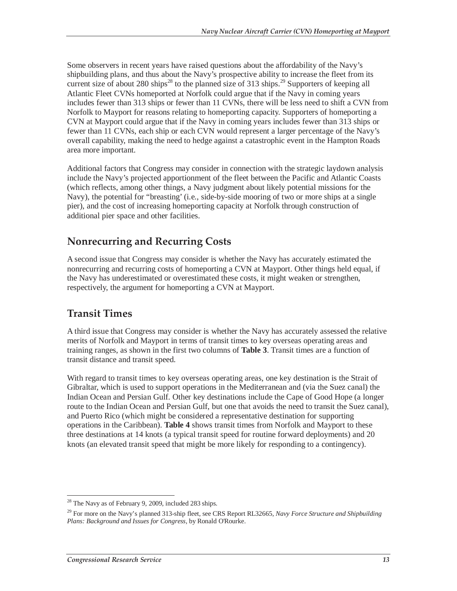Some observers in recent years have raised questions about the affordability of the Navy's shipbuilding plans, and thus about the Navy's prospective ability to increase the fleet from its current size of about 280 ships<sup>28</sup> to the planned size of 313 ships.<sup>29</sup> Supporters of keeping all Atlantic Fleet CVNs homeported at Norfolk could argue that if the Navy in coming years includes fewer than 313 ships or fewer than 11 CVNs, there will be less need to shift a CVN from Norfolk to Mayport for reasons relating to homeporting capacity. Supporters of homeporting a CVN at Mayport could argue that if the Navy in coming years includes fewer than 313 ships or fewer than 11 CVNs, each ship or each CVN would represent a larger percentage of the Navy's overall capability, making the need to hedge against a catastrophic event in the Hampton Roads area more important.

Additional factors that Congress may consider in connection with the strategic laydown analysis include the Navy's projected apportionment of the fleet between the Pacific and Atlantic Coasts (which reflects, among other things, a Navy judgment about likely potential missions for the Navy), the potential for "breasting' (i.e., side-by-side mooring of two or more ships at a single pier), and the cost of increasing homeporting capacity at Norfolk through construction of additional pier space and other facilities.

## **Nonrecurring and Recurring Costs**

A second issue that Congress may consider is whether the Navy has accurately estimated the nonrecurring and recurring costs of homeporting a CVN at Mayport. Other things held equal, if the Navy has underestimated or overestimated these costs, it might weaken or strengthen, respectively, the argument for homeporting a CVN at Mayport.

## **Transit Times**

A third issue that Congress may consider is whether the Navy has accurately assessed the relative merits of Norfolk and Mayport in terms of transit times to key overseas operating areas and training ranges, as shown in the first two columns of **Table 3**. Transit times are a function of transit distance and transit speed.

With regard to transit times to key overseas operating areas, one key destination is the Strait of Gibraltar, which is used to support operations in the Mediterranean and (via the Suez canal) the Indian Ocean and Persian Gulf. Other key destinations include the Cape of Good Hope (a longer route to the Indian Ocean and Persian Gulf, but one that avoids the need to transit the Suez canal), and Puerto Rico (which might be considered a representative destination for supporting operations in the Caribbean). **Table 4** shows transit times from Norfolk and Mayport to these three destinations at 14 knots (a typical transit speed for routine forward deployments) and 20 knots (an elevated transit speed that might be more likely for responding to a contingency).

<sup>-</sup> $28$  The Navy as of February 9, 2009, included 283 ships.

<sup>29</sup> For more on the Navy's planned 313-ship fleet, see CRS Report RL32665, *Navy Force Structure and Shipbuilding Plans: Background and Issues for Congress*, by Ronald O'Rourke.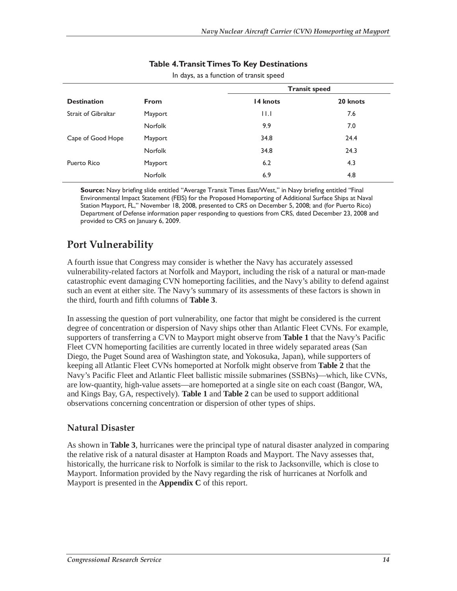|                     |                | <b>Transit speed</b> |          |
|---------------------|----------------|----------------------|----------|
| <b>Destination</b>  | <b>From</b>    | 14 knots             | 20 knots |
| Strait of Gibraltar | Mayport        | 11.1                 | 7.6      |
|                     | <b>Norfolk</b> | 9.9                  | 7.0      |
| Cape of Good Hope   | Mayport        | 34.8                 | 24.4     |
|                     | <b>Norfolk</b> | 34.8                 | 24.3     |
| Puerto Rico         | Mayport        | 6.2                  | 4.3      |
|                     | <b>Norfolk</b> | 6.9                  | 4.8      |

#### **Table 4. Transit Times To Key Destinations**

In days, as a function of transit speed

**Source:** Navy briefing slide entitled "Average Transit Times East/West," in Navy briefing entitled "Final Environmental Impact Statement (FEIS) for the Proposed Homeporting of Additional Surface Ships at Naval Station Mayport, FL," November 18, 2008, presented to CRS on December 5, 2008; and (for Puerto Rico) Department of Defense information paper responding to questions from CRS, dated December 23, 2008 and provided to CRS on January 6, 2009.

## **Port Vulnerability**

A fourth issue that Congress may consider is whether the Navy has accurately assessed vulnerability-related factors at Norfolk and Mayport, including the risk of a natural or man-made catastrophic event damaging CVN homeporting facilities, and the Navy's ability to defend against such an event at either site. The Navy's summary of its assessments of these factors is shown in the third, fourth and fifth columns of **Table 3**.

In assessing the question of port vulnerability, one factor that might be considered is the current degree of concentration or dispersion of Navy ships other than Atlantic Fleet CVNs. For example, supporters of transferring a CVN to Mayport might observe from **Table 1** that the Navy's Pacific Fleet CVN homeporting facilities are currently located in three widely separated areas (San Diego, the Puget Sound area of Washington state, and Yokosuka, Japan), while supporters of keeping all Atlantic Fleet CVNs homeported at Norfolk might observe from **Table 2** that the Navy's Pacific Fleet and Atlantic Fleet ballistic missile submarines (SSBNs)—which, like CVNs, are low-quantity, high-value assets—are homeported at a single site on each coast (Bangor, WA, and Kings Bay, GA, respectively). **Table 1** and **Table 2** can be used to support additional observations concerning concentration or dispersion of other types of ships.

#### **Natural Disaster**

As shown in **Table 3**, hurricanes were the principal type of natural disaster analyzed in comparing the relative risk of a natural disaster at Hampton Roads and Mayport. The Navy assesses that, historically, the hurricane risk to Norfolk is similar to the risk to Jacksonville, which is close to Mayport. Information provided by the Navy regarding the risk of hurricanes at Norfolk and Mayport is presented in the **Appendix C** of this report.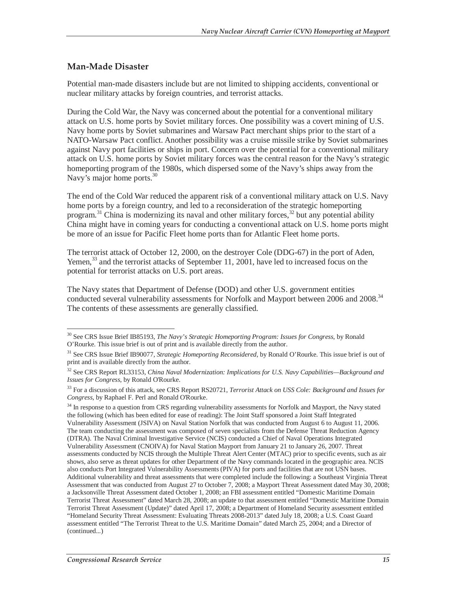#### **Man-Made Disaster**

Potential man-made disasters include but are not limited to shipping accidents, conventional or nuclear military attacks by foreign countries, and terrorist attacks.

During the Cold War, the Navy was concerned about the potential for a conventional military attack on U.S. home ports by Soviet military forces. One possibility was a covert mining of U.S. Navy home ports by Soviet submarines and Warsaw Pact merchant ships prior to the start of a NATO-Warsaw Pact conflict. Another possibility was a cruise missile strike by Soviet submarines against Navy port facilities or ships in port. Concern over the potential for a conventional military attack on U.S. home ports by Soviet military forces was the central reason for the Navy's strategic homeporting program of the 1980s, which dispersed some of the Navy's ships away from the Navy's major home ports.<sup>30</sup>

The end of the Cold War reduced the apparent risk of a conventional military attack on U.S. Navy home ports by a foreign country, and led to a reconsideration of the strategic homeporting program.<sup>31</sup> China is modernizing its naval and other military forces,  $32$  but any potential ability China might have in coming years for conducting a conventional attack on U.S. home ports might be more of an issue for Pacific Fleet home ports than for Atlantic Fleet home ports.

The terrorist attack of October 12, 2000, on the destroyer Cole (DDG-67) in the port of Aden, Yemen, $33$  and the terrorist attacks of September 11, 2001, have led to increased focus on the potential for terrorist attacks on U.S. port areas.

The Navy states that Department of Defense (DOD) and other U.S. government entities conducted several vulnerability assessments for Norfolk and Mayport between 2006 and 2008.<sup>34</sup> The contents of these assessments are generally classified.

<sup>-</sup>30 See CRS Issue Brief IB85193, *The Navy's Strategic Homeporting Program: Issues for Congress*, by Ronald O'Rourke. This issue brief is out of print and is available directly from the author.

<sup>31</sup> See CRS Issue Brief IB90077, *Strategic Homeporting Reconsidered*, by Ronald O'Rourke. This issue brief is out of print and is available directly from the author.

<sup>32</sup> See CRS Report RL33153, *China Naval Modernization: Implications for U.S. Navy Capabilities—Background and Issues for Congress*, by Ronald O'Rourke.

<sup>33</sup> For a discussion of this attack, see CRS Report RS20721, *Terrorist Attack on USS Cole: Background and Issues for Congress*, by Raphael F. Perl and Ronald O'Rourke.

<sup>&</sup>lt;sup>34</sup> In response to a question from CRS regarding vulnerability assessments for Norfolk and Mayport, the Navy stated the following (which has been edited for ease of reading): The Joint Staff sponsored a Joint Staff Integrated Vulnerability Assessment (JSIVA) on Naval Station Norfolk that was conducted from August 6 to August 11, 2006. The team conducting the assessment was composed of seven specialists from the Defense Threat Reduction Agency (DTRA). The Naval Criminal Investigative Service (NCIS) conducted a Chief of Naval Operations Integrated Vulnerability Assessment (CNOIVA) for Naval Station Mayport from January 21 to January 26, 2007. Threat assessments conducted by NCIS through the Multiple Threat Alert Center (MTAC) prior to specific events, such as air shows, also serve as threat updates for other Department of the Navy commands located in the geographic area. NCIS also conducts Port Integrated Vulnerability Assessments (PIVA) for ports and facilities that are not USN bases. Additional vulnerability and threat assessments that were completed include the following: a Southeast Virginia Threat Assessment that was conducted from August 27 to October 7, 2008; a Mayport Threat Assessment dated May 30, 2008; a Jacksonville Threat Assessment dated October 1, 2008; an FBI assessment entitled "Domestic Maritime Domain Terrorist Threat Assessment" dated March 28, 2008; an update to that assessment entitled "Domestic Maritime Domain Terrorist Threat Assessment (Update)" dated April 17, 2008; a Department of Homeland Security assessment entitled "Homeland Security Threat Assessment: Evaluating Threats 2008-2013" dated July 18, 2008; a U.S. Coast Guard assessment entitled "The Terrorist Threat to the U.S. Maritime Domain" dated March 25, 2004; and a Director of (continued...)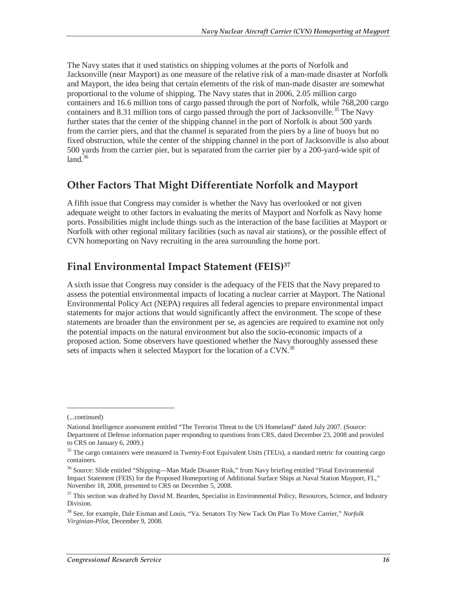The Navy states that it used statistics on shipping volumes at the ports of Norfolk and Jacksonville (near Mayport) as one measure of the relative risk of a man-made disaster at Norfolk and Mayport, the idea being that certain elements of the risk of man-made disaster are somewhat proportional to the volume of shipping. The Navy states that in 2006, 2.05 million cargo containers and 16.6 million tons of cargo passed through the port of Norfolk, while 768,200 cargo containers and 8.31 million tons of cargo passed through the port of Jacksonville.<sup>35</sup> The Navy further states that the center of the shipping channel in the port of Norfolk is about 500 yards from the carrier piers, and that the channel is separated from the piers by a line of buoys but no fixed obstruction, while the center of the shipping channel in the port of Jacksonville is also about 500 yards from the carrier pier, but is separated from the carrier pier by a 200-yard-wide spit of  $land.<sup>36</sup>$ 

### **Other Factors That Might Differentiate Norfolk and Mayport**

A fifth issue that Congress may consider is whether the Navy has overlooked or not given adequate weight to other factors in evaluating the merits of Mayport and Norfolk as Navy home ports. Possibilities might include things such as the interaction of the base facilities at Mayport or Norfolk with other regional military facilities (such as naval air stations), or the possible effect of CVN homeporting on Navy recruiting in the area surrounding the home port.

### **Final Environmental Impact Statement (FEIS)37**

A sixth issue that Congress may consider is the adequacy of the FEIS that the Navy prepared to assess the potential environmental impacts of locating a nuclear carrier at Mayport. The National Environmental Policy Act (NEPA) requires all federal agencies to prepare environmental impact statements for major actions that would significantly affect the environment. The scope of these statements are broader than the environment per se, as agencies are required to examine not only the potential impacts on the natural environment but also the socio-economic impacts of a proposed action. Some observers have questioned whether the Navy thoroughly assessed these sets of impacts when it selected Mayport for the location of a CVN.<sup>38</sup>

<sup>(...</sup>continued)

National Intelligence assessment entitled "The Terrorist Threat to the US Homeland" dated July 2007. (Source: Department of Defense information paper responding to questions from CRS, dated December 23, 2008 and provided to CRS on January 6, 2009.)

<sup>&</sup>lt;sup>35</sup> The cargo containers were measured in Twenty-Foot Equivalent Units (TEUs), a standard metric for counting cargo containers.

<sup>&</sup>lt;sup>36</sup> Source: Slide entitled "Shipping—Man Made Disaster Risk," from Navy briefing entitled "Final Environmental Impact Statement (FEIS) for the Proposed Homeporting of Additional Surface Ships at Naval Station Mayport, FL," November 18, 2008, presented to CRS on December 5, 2008.

<sup>&</sup>lt;sup>37</sup> This section was drafted by David M. Bearden, Specialist in Environmental Policy, Resources, Science, and Industry Division.

<sup>38</sup> See, for example, Dale Eisman and Louis, "Va. Senators Try New Tack On Plan To Move Carrier," *Norfolk Virginian-Pilot*, December 9, 2008.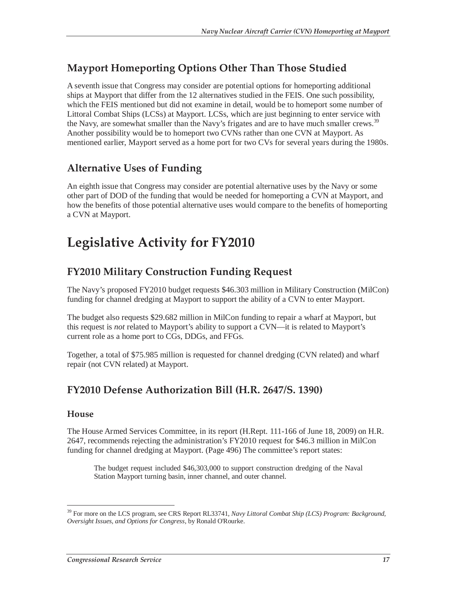## **Mayport Homeporting Options Other Than Those Studied**

A seventh issue that Congress may consider are potential options for homeporting additional ships at Mayport that differ from the 12 alternatives studied in the FEIS. One such possibility, which the FEIS mentioned but did not examine in detail, would be to homeport some number of Littoral Combat Ships (LCSs) at Mayport. LCSs, which are just beginning to enter service with the Navy, are somewhat smaller than the Navy's frigates and are to have much smaller crews.<sup>39</sup> Another possibility would be to homeport two CVNs rather than one CVN at Mayport. As mentioned earlier, Mayport served as a home port for two CVs for several years during the 1980s.

## **Alternative Uses of Funding**

An eighth issue that Congress may consider are potential alternative uses by the Navy or some other part of DOD of the funding that would be needed for homeporting a CVN at Mayport, and how the benefits of those potential alternative uses would compare to the benefits of homeporting a CVN at Mayport.

# **Legislative Activity for FY2010**

## **FY2010 Military Construction Funding Request**

The Navy's proposed FY2010 budget requests \$46.303 million in Military Construction (MilCon) funding for channel dredging at Mayport to support the ability of a CVN to enter Mayport.

The budget also requests \$29.682 million in MilCon funding to repair a wharf at Mayport, but this request is *not* related to Mayport's ability to support a CVN—it is related to Mayport's current role as a home port to CGs, DDGs, and FFGs.

Together, a total of \$75.985 million is requested for channel dredging (CVN related) and wharf repair (not CVN related) at Mayport.

### **FY2010 Defense Authorization Bill (H.R. 2647/S. 1390)**

#### **House**

-

The House Armed Services Committee, in its report (H.Rept. 111-166 of June 18, 2009) on H.R. 2647, recommends rejecting the administration's FY2010 request for \$46.3 million in MilCon funding for channel dredging at Mayport. (Page 496) The committee's report states:

The budget request included \$46,303,000 to support construction dredging of the Naval Station Mayport turning basin, inner channel, and outer channel.

<sup>39</sup> For more on the LCS program, see CRS Report RL33741, *Navy Littoral Combat Ship (LCS) Program: Background, Oversight Issues, and Options for Congress*, by Ronald O'Rourke.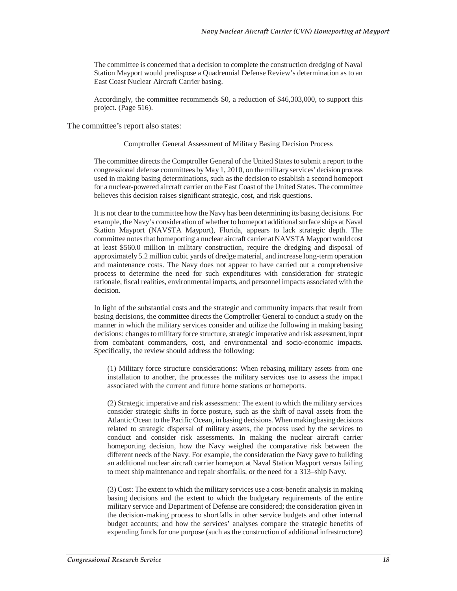The committee is concerned that a decision to complete the construction dredging of Naval Station Mayport would predispose a Quadrennial Defense Review's determination as to an East Coast Nuclear Aircraft Carrier basing.

Accordingly, the committee recommends \$0, a reduction of \$46,303,000, to support this project. (Page 516).

The committee's report also states:

#### Comptroller General Assessment of Military Basing Decision Process

The committee directs the Comptroller General of the United States to submit a report to the congressional defense committees by May 1, 2010, on the military services' decision process used in making basing determinations, such as the decision to establish a second homeport for a nuclear-powered aircraft carrier on the East Coast of the United States. The committee believes this decision raises significant strategic, cost, and risk questions.

It is not clear to the committee how the Navy has been determining its basing decisions. For example, the Navy's consideration of whether to homeport additional surface ships at Naval Station Mayport (NAVSTA Mayport), Florida, appears to lack strategic depth. The committee notes that homeporting a nuclear aircraft carrier at NAVSTA Mayport would cost at least \$560.0 million in military construction, require the dredging and disposal of approximately 5.2 million cubic yards of dredge material, and increase long-term operation and maintenance costs. The Navy does not appear to have carried out a comprehensive process to determine the need for such expenditures with consideration for strategic rationale, fiscal realities, environmental impacts, and personnel impacts associated with the decision.

In light of the substantial costs and the strategic and community impacts that result from basing decisions, the committee directs the Comptroller General to conduct a study on the manner in which the military services consider and utilize the following in making basing decisions: changes to military force structure, strategic imperative and risk assessment, input from combatant commanders, cost, and environmental and socio-economic impacts. Specifically, the review should address the following:

(1) Military force structure considerations: When rebasing military assets from one installation to another, the processes the military services use to assess the impact associated with the current and future home stations or homeports.

(2) Strategic imperative and risk assessment: The extent to which the military services consider strategic shifts in force posture, such as the shift of naval assets from the Atlantic Ocean to the Pacific Ocean, in basing decisions. When making basing decisions related to strategic dispersal of military assets, the process used by the services to conduct and consider risk assessments. In making the nuclear aircraft carrier homeporting decision, how the Navy weighed the comparative risk between the different needs of the Navy. For example, the consideration the Navy gave to building an additional nuclear aircraft carrier homeport at Naval Station Mayport versus failing to meet ship maintenance and repair shortfalls, or the need for a 313–ship Navy.

(3) Cost: The extent to which the military services use a cost-benefit analysis in making basing decisions and the extent to which the budgetary requirements of the entire military service and Department of Defense are considered; the consideration given in the decision-making process to shortfalls in other service budgets and other internal budget accounts; and how the services' analyses compare the strategic benefits of expending funds for one purpose (such as the construction of additional infrastructure)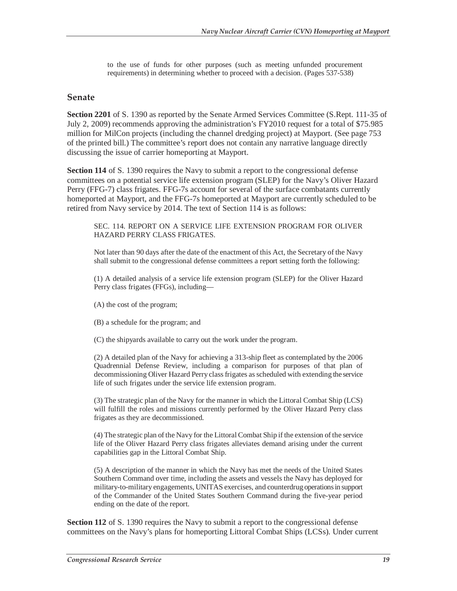to the use of funds for other purposes (such as meeting unfunded procurement requirements) in determining whether to proceed with a decision. (Pages 537-538)

#### **Senate**

**Section 2201** of S. 1390 as reported by the Senate Armed Services Committee (S.Rept. 111-35 of July 2, 2009) recommends approving the administration's FY2010 request for a total of \$75.985 million for MilCon projects (including the channel dredging project) at Mayport. (See page 753 of the printed bill.) The committee's report does not contain any narrative language directly discussing the issue of carrier homeporting at Mayport.

**Section 114** of S. 1390 requires the Navy to submit a report to the congressional defense committees on a potential service life extension program (SLEP) for the Navy's Oliver Hazard Perry (FFG-7) class frigates. FFG-7s account for several of the surface combatants currently homeported at Mayport, and the FFG-7s homeported at Mayport are currently scheduled to be retired from Navy service by 2014. The text of Section 114 is as follows:

SEC. 114. REPORT ON A SERVICE LIFE EXTENSION PROGRAM FOR OLIVER HAZARD PERRY CLASS FRIGATES.

Not later than 90 days after the date of the enactment of this Act, the Secretary of the Navy shall submit to the congressional defense committees a report setting forth the following:

(1) A detailed analysis of a service life extension program (SLEP) for the Oliver Hazard Perry class frigates (FFGs), including—

(A) the cost of the program;

(B) a schedule for the program; and

(C) the shipyards available to carry out the work under the program.

(2) A detailed plan of the Navy for achieving a 313-ship fleet as contemplated by the 2006 Quadrennial Defense Review, including a comparison for purposes of that plan of decommissioning Oliver Hazard Perry class frigates as scheduled with extending the service life of such frigates under the service life extension program.

(3) The strategic plan of the Navy for the manner in which the Littoral Combat Ship (LCS) will fulfill the roles and missions currently performed by the Oliver Hazard Perry class frigates as they are decommissioned.

(4) The strategic plan of the Navy for the Littoral Combat Ship if the extension of the service life of the Oliver Hazard Perry class frigates alleviates demand arising under the current capabilities gap in the Littoral Combat Ship.

(5) A description of the manner in which the Navy has met the needs of the United States Southern Command over time, including the assets and vessels the Navy has deployed for military-to-military engagements, UNITAS exercises, and counterdrug operations in support of the Commander of the United States Southern Command during the five-year period ending on the date of the report.

**Section 112** of S. 1390 requires the Navy to submit a report to the congressional defense committees on the Navy's plans for homeporting Littoral Combat Ships (LCSs). Under current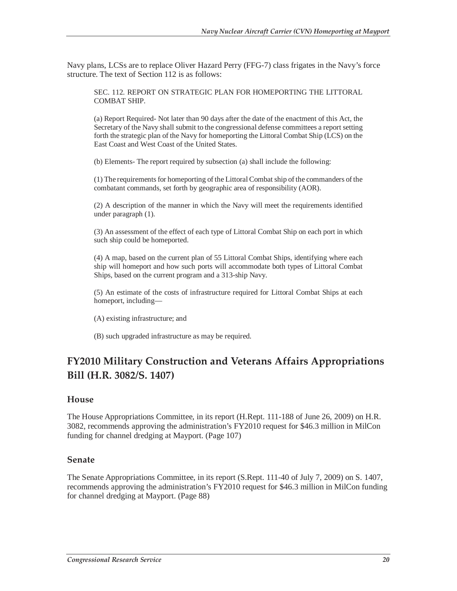Navy plans, LCSs are to replace Oliver Hazard Perry (FFG-7) class frigates in the Navy's force structure. The text of Section 112 is as follows:

SEC. 112. REPORT ON STRATEGIC PLAN FOR HOMEPORTING THE LITTORAL COMBAT SHIP.

(a) Report Required- Not later than 90 days after the date of the enactment of this Act, the Secretary of the Navy shall submit to the congressional defense committees a report setting forth the strategic plan of the Navy for homeporting the Littoral Combat Ship (LCS) on the East Coast and West Coast of the United States.

(b) Elements- The report required by subsection (a) shall include the following:

(1) The requirements for homeporting of the Littoral Combat ship of the commanders of the combatant commands, set forth by geographic area of responsibility (AOR).

(2) A description of the manner in which the Navy will meet the requirements identified under paragraph (1).

(3) An assessment of the effect of each type of Littoral Combat Ship on each port in which such ship could be homeported.

(4) A map, based on the current plan of 55 Littoral Combat Ships, identifying where each ship will homeport and how such ports will accommodate both types of Littoral Combat Ships, based on the current program and a 313-ship Navy.

(5) An estimate of the costs of infrastructure required for Littoral Combat Ships at each homeport, including—

(A) existing infrastructure; and

(B) such upgraded infrastructure as may be required.

## **FY2010 Military Construction and Veterans Affairs Appropriations Bill (H.R. 3082/S. 1407)**

#### **House**

The House Appropriations Committee, in its report (H.Rept. 111-188 of June 26, 2009) on H.R. 3082, recommends approving the administration's FY2010 request for \$46.3 million in MilCon funding for channel dredging at Mayport. (Page 107)

#### **Senate**

The Senate Appropriations Committee, in its report (S.Rept. 111-40 of July 7, 2009) on S. 1407, recommends approving the administration's FY2010 request for \$46.3 million in MilCon funding for channel dredging at Mayport. (Page 88)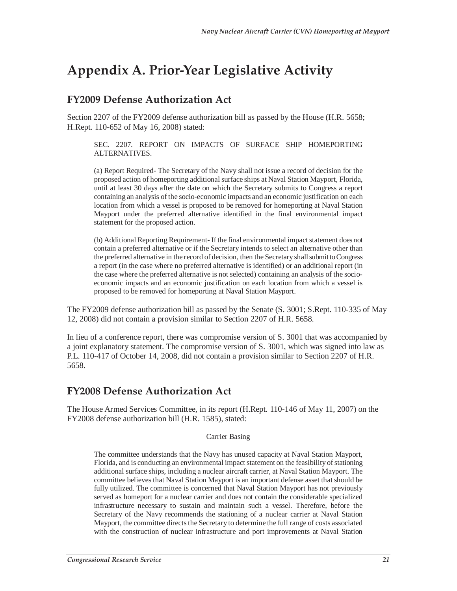# **Appendix A. Prior-Year Legislative Activity**

### **FY2009 Defense Authorization Act**

Section 2207 of the FY2009 defense authorization bill as passed by the House (H.R. 5658; H.Rept. 110-652 of May 16, 2008) stated:

SEC. 2207. REPORT ON IMPACTS OF SURFACE SHIP HOMEPORTING ALTERNATIVES.

(a) Report Required- The Secretary of the Navy shall not issue a record of decision for the proposed action of homeporting additional surface ships at Naval Station Mayport, Florida, until at least 30 days after the date on which the Secretary submits to Congress a report containing an analysis of the socio-economic impacts and an economic justification on each location from which a vessel is proposed to be removed for homeporting at Naval Station Mayport under the preferred alternative identified in the final environmental impact statement for the proposed action.

(b) Additional Reporting Requirement- If the final environmental impact statement does not contain a preferred alternative or if the Secretary intends to select an alternative other than the preferred alternative in the record of decision, then the Secretary shall submit to Congress a report (in the case where no preferred alternative is identified) or an additional report (in the case where the preferred alternative is not selected) containing an analysis of the socioeconomic impacts and an economic justification on each location from which a vessel is proposed to be removed for homeporting at Naval Station Mayport.

The FY2009 defense authorization bill as passed by the Senate (S. 3001; S.Rept. 110-335 of May 12, 2008) did not contain a provision similar to Section 2207 of H.R. 5658.

In lieu of a conference report, there was compromise version of S. 3001 that was accompanied by a joint explanatory statement. The compromise version of S. 3001, which was signed into law as P.L. 110-417 of October 14, 2008, did not contain a provision similar to Section 2207 of H.R. 5658.

## **FY2008 Defense Authorization Act**

The House Armed Services Committee, in its report (H.Rept. 110-146 of May 11, 2007) on the FY2008 defense authorization bill (H.R. 1585), stated:

#### Carrier Basing

The committee understands that the Navy has unused capacity at Naval Station Mayport, Florida, and is conducting an environmental impact statement on the feasibility of stationing additional surface ships, including a nuclear aircraft carrier, at Naval Station Mayport. The committee believes that Naval Station Mayport is an important defense asset that should be fully utilized. The committee is concerned that Naval Station Mayport has not previously served as homeport for a nuclear carrier and does not contain the considerable specialized infrastructure necessary to sustain and maintain such a vessel. Therefore, before the Secretary of the Navy recommends the stationing of a nuclear carrier at Naval Station Mayport, the committee directs the Secretary to determine the full range of costs associated with the construction of nuclear infrastructure and port improvements at Naval Station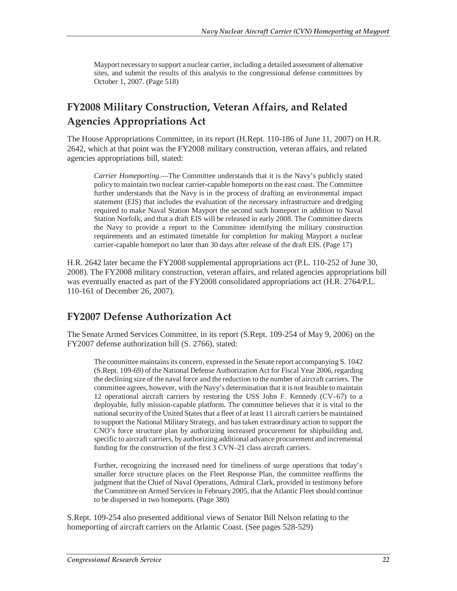Mayport necessary to support a nuclear carrier, including a detailed assessment of alternative sites, and submit the results of this analysis to the congressional defense committees by October 1, 2007. (Page 518)

## **FY2008 Military Construction, Veteran Affairs, and Related Agencies Appropriations Act**

The House Appropriations Committee, in its report (H.Rept. 110-186 of June 11, 2007) on H.R. 2642, which at that point was the FY2008 military construction, veteran affairs, and related agencies appropriations bill, stated:

*Carrier Homeporting*.—The Committee understands that it is the Navy's publicly stated policy to maintain two nuclear carrier-capable homeports on the east coast. The Committee further understands that the Navy is in the process of drafting an environmental impact statement (EIS) that includes the evaluation of the necessary infrastructure and dredging required to make Naval Station Mayport the second such homeport in addition to Naval Station Norfolk, and that a draft EIS will be released in early 2008. The Committee directs the Navy to provide a report to the Committee identifying the military construction requirements and an estimated timetable for completion for making Mayport a nuclear carrier-capable homeport no later than 30 days after release of the draft EIS. (Page 17)

H.R. 2642 later became the FY2008 supplemental appropriations act (P.L. 110-252 of June 30, 2008). The FY2008 military construction, veteran affairs, and related agencies appropriations bill was eventually enacted as part of the FY2008 consolidated appropriations act (H.R. 2764/P.L. 110-161 of December 26, 2007).

## **FY2007 Defense Authorization Act**

The Senate Armed Services Committee, in its report (S.Rept. 109-254 of May 9, 2006) on the FY2007 defense authorization bill (S. 2766), stated:

The committee maintains its concern, expressed in the Senate report accompanying S. 1042 (S.Rept. 109-69) of the National Defense Authorization Act for Fiscal Year 2006, regarding the declining size of the naval force and the reduction to the number of aircraft carriers. The committee agrees, however, with the Navy's determination that it is not feasible to maintain 12 operational aircraft carriers by restoring the USS John F. Kennedy (CV–67) to a deployable, fully mission-capable platform. The committee believes that it is vital to the national security of the United States that a fleet of at least 11 aircraft carriers be maintained to support the National Military Strategy, and has taken extraordinary action to support the CNO's force structure plan by authorizing increased procurement for shipbuilding and, specific to aircraft carriers, by authorizing additional advance procurement and incremental funding for the construction of the first 3 CVN–21 class aircraft carriers.

Further, recognizing the increased need for timeliness of surge operations that today's smaller force structure places on the Fleet Response Plan, the committee reaffirms the judgment that the Chief of Naval Operations, Admiral Clark, provided in testimony before the Committee on Armed Services in February 2005, that the Atlantic Fleet should continue to be dispersed in two homeports. (Page 380)

S.Rept. 109-254 also presented additional views of Senator Bill Nelson relating to the homeporting of aircraft carriers on the Atlantic Coast. (See pages 528-529)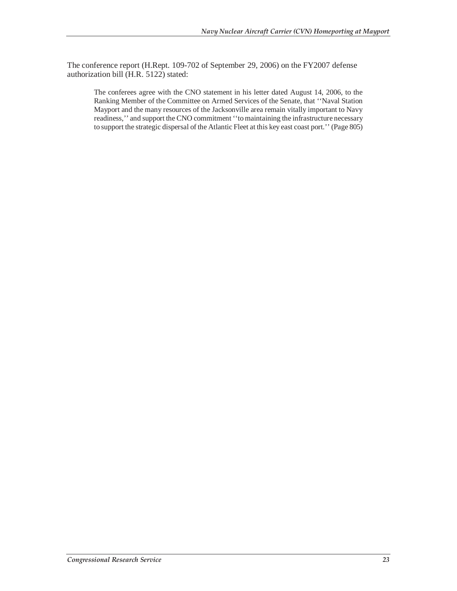The conference report (H.Rept. 109-702 of September 29, 2006) on the FY2007 defense authorization bill (H.R. 5122) stated:

The conferees agree with the CNO statement in his letter dated August 14, 2006, to the Ranking Member of the Committee on Armed Services of the Senate, that ''Naval Station Mayport and the many resources of the Jacksonville area remain vitally important to Navy readiness,'' and support the CNO commitment ''to maintaining the infrastructure necessary to support the strategic dispersal of the Atlantic Fleet at this key east coast port.'' (Page 805)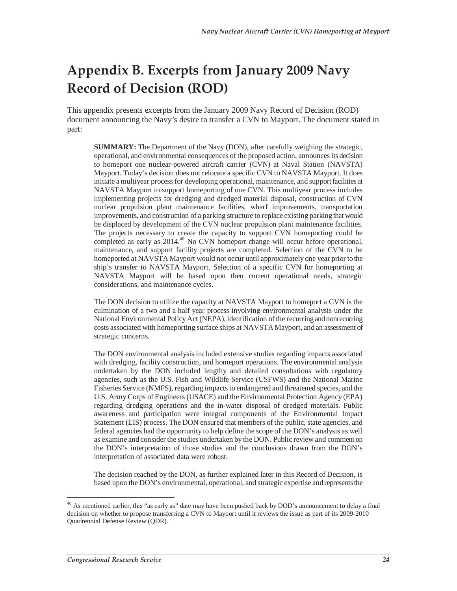# **Appendix B. Excerpts from January 2009 Navy Record of Decision (ROD)**

This appendix presents excerpts from the January 2009 Navy Record of Decision (ROD) document announcing the Navy's desire to transfer a CVN to Mayport. The document stated in part:

**SUMMARY:** The Department of the Navy (DON), after carefully weighing the strategic, operational, and environmental consequences of the proposed action, announces its decision to homeport one nuclear-powered aircraft carrier (CVN) at Naval Station (NAVSTA) Mayport. Today's decision does not relocate a specific CVN to NAVSTA Mayport. It does initiate a multiyear process for developing operational, maintenance, and support facilities at NAVSTA Mayport to support homeporting of one CVN. This multiyear process includes implementing projects for dredging and dredged material disposal, construction of CVN nuclear propulsion plant maintenance facilities, wharf improvements, transportation improvements, and construction of a parking structure to replace existing parking that would be displaced by development of the CVN nuclear propulsion plant maintenance facilities. The projects necessary to create the capacity to support CVN homeporting could be completed as early as 2014.40 No CVN homeport change will occur before operational, maintenance, and support facility projects are completed. Selection of the CVN to be homeported at NAVSTA Mayport would not occur until approximately one year prior to the ship's transfer to NAVSTA Mayport. Selection of a specific CVN for homeporting at NAVSTA Mayport will be based upon then current operational needs, strategic considerations, and maintenance cycles.

The DON decision to utilize the capacity at NAVSTA Mayport to homeport a CVN is the culmination of a two and a half year process involving environmental analysis under the National Environmental Policy Act (NEPA), identification of the recurring and nonrecurring costs associated with homeporting surface ships at NAVSTA Mayport, and an assessment of strategic concerns.

The DON environmental analysis included extensive studies regarding impacts associated with dredging, facility construction, and homeport operations. The environmental analysis undertaken by the DON included lengthy and detailed consultations with regulatory agencies, such as the U.S. Fish and Wildlife Service (USFWS) and the National Marine Fisheries Service (NMFS), regarding impacts to endangered and threatened species, and the U.S. Army Corps of Engineers (USACE) and the Environmental Protection Agency (EPA) regarding dredging operations and the in-water disposal of dredged materials. Public awareness and participation were integral components of the Environmental Impact Statement (EIS) process. The DON ensured that members of the public, state agencies, and federal agencies had the opportunity to help define the scope of the DON's analysis as well as examine and consider the studies undertaken by the DON. Public review and comment on the DON's interpretation of those studies and the conclusions drawn from the DON's interpretation of associated data were robust.

The decision reached by the DON, as further explained later in this Record of Decision, is based upon the DON's environmental, operational, and strategic expertise and represents the

<sup>-</sup><sup>40</sup> As mentioned earlier, this "as early as" date may have been pushed back by DOD's announcement to delay a final decision on whether to propose transferring a CVN to Mayport until it reviews the issue as part of its 2009-2010 Quadrennial Defense Review (QDR).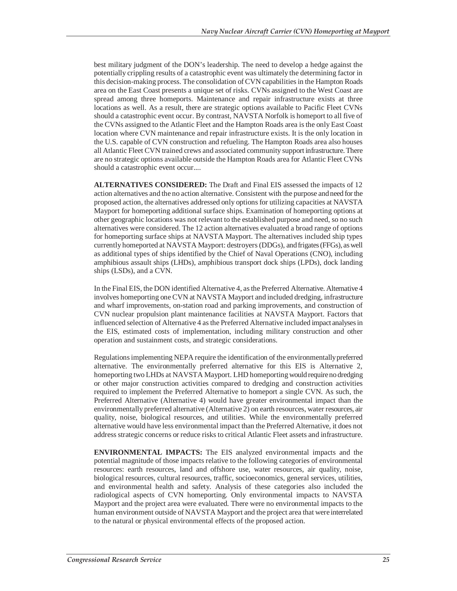best military judgment of the DON's leadership. The need to develop a hedge against the potentially crippling results of a catastrophic event was ultimately the determining factor in this decision-making process. The consolidation of CVN capabilities in the Hampton Roads area on the East Coast presents a unique set of risks. CVNs assigned to the West Coast are spread among three homeports. Maintenance and repair infrastructure exists at three locations as well. As a result, there are strategic options available to Pacific Fleet CVNs should a catastrophic event occur. By contrast, NAVSTA Norfolk is homeport to all five of the CVNs assigned to the Atlantic Fleet and the Hampton Roads area is the only East Coast location where CVN maintenance and repair infrastructure exists. It is the only location in the U.S. capable of CVN construction and refueling. The Hampton Roads area also houses all Atlantic Fleet CVN trained crews and associated community support infrastructure. There are no strategic options available outside the Hampton Roads area for Atlantic Fleet CVNs should a catastrophic event occur....

**ALTERNATIVES CONSIDERED:** The Draft and Final EIS assessed the impacts of 12 action alternatives and the no action alternative. Consistent with the purpose and need for the proposed action, the alternatives addressed only options for utilizing capacities at NAVSTA Mayport for homeporting additional surface ships. Examination of homeporting options at other geographic locations was not relevant to the established purpose and need, so no such alternatives were considered. The 12 action alternatives evaluated a broad range of options for homeporting surface ships at NAVSTA Mayport. The alternatives included ship types currently homeported at NAVSTA Mayport: destroyers (DDGs), and frigates (FFGs), as well as additional types of ships identified by the Chief of Naval Operations (CNO), including amphibious assault ships (LHDs), amphibious transport dock ships (LPDs), dock landing ships (LSDs), and a CVN.

In the Final EIS, the DON identified Alternative 4, as the Preferred Alternative. Alternative 4 involves homeporting one CVN at NAVSTA Mayport and included dredging, infrastructure and wharf improvements, on-station road and parking improvements, and construction of CVN nuclear propulsion plant maintenance facilities at NAVSTA Mayport. Factors that influenced selection of Alternative 4 as the Preferred Alternative included impact analyses in the EIS, estimated costs of implementation, including military construction and other operation and sustainment costs, and strategic considerations.

Regulations implementing NEPA require the identification of the environmentally preferred alternative. The environmentally preferred alternative for this EIS is Alternative 2, homeporting two LHDs at NAVSTA Mayport. LHD homeporting would require no dredging or other major construction activities compared to dredging and construction activities required to implement the Preferred Alternative to homeport a single CVN. As such, the Preferred Alternative (Alternative 4) would have greater environmental impact than the environmentally preferred alternative (Alternative 2) on earth resources, water resources, air quality, noise, biological resources, and utilities. While the environmentally preferred alternative would have less environmental impact than the Preferred Alternative, it does not address strategic concerns or reduce risks to critical Atlantic Fleet assets and infrastructure.

**ENVIRONMENTAL IMPACTS:** The EIS analyzed environmental impacts and the potential magnitude of those impacts relative to the following categories of environmental resources: earth resources, land and offshore use, water resources, air quality, noise, biological resources, cultural resources, traffic, socioeconomics, general services, utilities, and environmental health and safety. Analysis of these categories also included the radiological aspects of CVN homeporting. Only environmental impacts to NAVSTA Mayport and the project area were evaluated. There were no environmental impacts to the human environment outside of NAVSTA Mayport and the project area that were interrelated to the natural or physical environmental effects of the proposed action.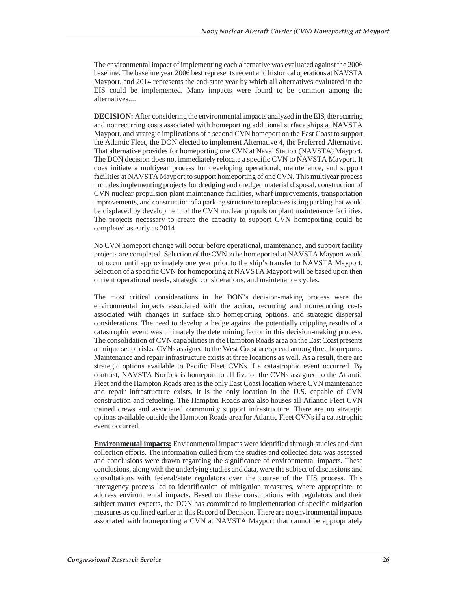The environmental impact of implementing each alternative was evaluated against the 2006 baseline. The baseline year 2006 best represents recent and historical operations at NAVSTA Mayport, and 2014 represents the end-state year by which all alternatives evaluated in the EIS could be implemented. Many impacts were found to be common among the alternatives....

**DECISION:** After considering the environmental impacts analyzed in the EIS, the recurring and nonrecurring costs associated with homeporting additional surface ships at NAVSTA Mayport, and strategic implications of a second CVN homeport on the East Coast to support the Atlantic Fleet, the DON elected to implement Alternative 4, the Preferred Alternative. That alternative provides for homeporting one CVN at Naval Station (NAVSTA) Mayport. The DON decision does not immediately relocate a specific CVN to NAVSTA Mayport. It does initiate a multiyear process for developing operational, maintenance, and support facilities at NAVSTA Mayport to support homeporting of one CVN. This multiyear process includes implementing projects for dredging and dredged material disposal, construction of CVN nuclear propulsion plant maintenance facilities, wharf improvements, transportation improvements, and construction of a parking structure to replace existing parking that would be displaced by development of the CVN nuclear propulsion plant maintenance facilities. The projects necessary to create the capacity to support CVN homeporting could be completed as early as 2014.

No CVN homeport change will occur before operational, maintenance, and support facility projects are completed. Selection of the CVN to be homeported at NAVSTA Mayport would not occur until approximately one year prior to the ship's transfer to NAVSTA Mayport. Selection of a specific CVN for homeporting at NAVSTA Mayport will be based upon then current operational needs, strategic considerations, and maintenance cycles.

The most critical considerations in the DON's decision-making process were the environmental impacts associated with the action, recurring and nonrecurring costs associated with changes in surface ship homeporting options, and strategic dispersal considerations. The need to develop a hedge against the potentially crippling results of a catastrophic event was ultimately the determining factor in this decision-making process. The consolidation of CVN capabilities in the Hampton Roads area on the East Coast presents a unique set of risks. CVNs assigned to the West Coast are spread among three homeports. Maintenance and repair infrastructure exists at three locations as well. As a result, there are strategic options available to Pacific Fleet CVNs if a catastrophic event occurred. By contrast, NAVSTA Norfolk is homeport to all five of the CVNs assigned to the Atlantic Fleet and the Hampton Roads area is the only East Coast location where CVN maintenance and repair infrastructure exists. It is the only location in the U.S. capable of CVN construction and refueling. The Hampton Roads area also houses all Atlantic Fleet CVN trained crews and associated community support infrastructure. There are no strategic options available outside the Hampton Roads area for Atlantic Fleet CVNs if a catastrophic event occurred.

**Environmental impacts:** Environmental impacts were identified through studies and data collection efforts. The information culled from the studies and collected data was assessed and conclusions were drawn regarding the significance of environmental impacts. These conclusions, along with the underlying studies and data, were the subject of discussions and consultations with federal/state regulators over the course of the EIS process. This interagency process led to identification of mitigation measures, where appropriate, to address environmental impacts. Based on these consultations with regulators and their subject matter experts, the DON has committed to implementation of specific mitigation measures as outlined earlier in this Record of Decision. There are no environmental impacts associated with homeporting a CVN at NAVSTA Mayport that cannot be appropriately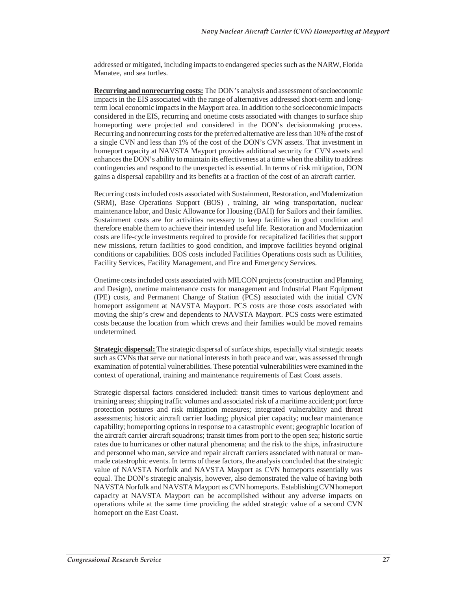addressed or mitigated, including impacts to endangered species such as the NARW, Florida Manatee, and sea turtles.

**Recurring and nonrecurring costs:** The DON's analysis and assessment of socioeconomic impacts in the EIS associated with the range of alternatives addressed short-term and longterm local economic impacts in the Mayport area. In addition to the socioeconomic impacts considered in the EIS, recurring and onetime costs associated with changes to surface ship homeporting were projected and considered in the DON's decisionmaking process. Recurring and nonrecurring costs for the preferred alternative are less than 10% of the cost of a single CVN and less than 1% of the cost of the DON's CVN assets. That investment in homeport capacity at NAVSTA Mayport provides additional security for CVN assets and enhances the DON's ability to maintain its effectiveness at a time when the ability to address contingencies and respond to the unexpected is essential. In terms of risk mitigation, DON gains a dispersal capability and its benefits at a fraction of the cost of an aircraft carrier.

Recurring costs included costs associated with Sustainment, Restoration, and Modernization (SRM), Base Operations Support (BOS) , training, air wing transportation, nuclear maintenance labor, and Basic Allowance for Housing (BAH) for Sailors and their families. Sustainment costs are for activities necessary to keep facilities in good condition and therefore enable them to achieve their intended useful life. Restoration and Modernization costs are life-cycle investments required to provide for recapitalized facilities that support new missions, return facilities to good condition, and improve facilities beyond original conditions or capabilities. BOS costs included Facilities Operations costs such as Utilities, Facility Services, Facility Management, and Fire and Emergency Services.

Onetime costs included costs associated with MILCON projects (construction and Planning and Design), onetime maintenance costs for management and Industrial Plant Equipment (IPE) costs, and Permanent Change of Station (PCS) associated with the initial CVN homeport assignment at NAVSTA Mayport. PCS costs are those costs associated with moving the ship's crew and dependents to NAVSTA Mayport. PCS costs were estimated costs because the location from which crews and their families would be moved remains undetermined.

**Strategic dispersal:** The strategic dispersal of surface ships, especially vital strategic assets such as CVNs that serve our national interests in both peace and war, was assessed through examination of potential vulnerabilities. These potential vulnerabilities were examined in the context of operational, training and maintenance requirements of East Coast assets.

Strategic dispersal factors considered included: transit times to various deployment and training areas; shipping traffic volumes and associated risk of a maritime accident; port force protection postures and risk mitigation measures; integrated vulnerability and threat assessments; historic aircraft carrier loading; physical pier capacity; nuclear maintenance capability; homeporting options in response to a catastrophic event; geographic location of the aircraft carrier aircraft squadrons; transit times from port to the open sea; historic sortie rates due to hurricanes or other natural phenomena; and the risk to the ships, infrastructure and personnel who man, service and repair aircraft carriers associated with natural or manmade catastrophic events. In terms of these factors, the analysis concluded that the strategic value of NAVSTA Norfolk and NAVSTA Mayport as CVN homeports essentially was equal. The DON's strategic analysis, however, also demonstrated the value of having both NAVSTA Norfolk and NAVSTA Mayport as CVN homeports. Establishing CVN homeport capacity at NAVSTA Mayport can be accomplished without any adverse impacts on operations while at the same time providing the added strategic value of a second CVN homeport on the East Coast.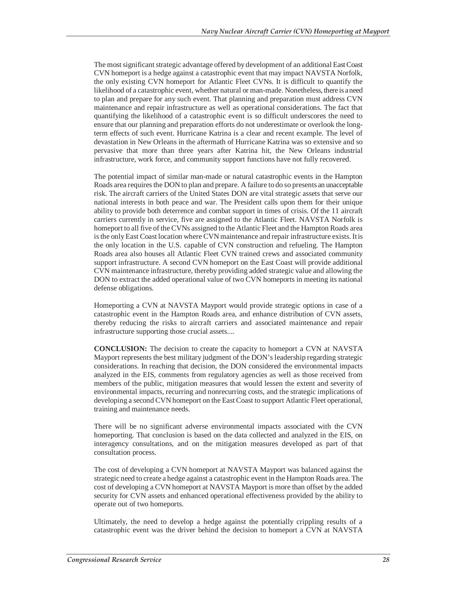The most significant strategic advantage offered by development of an additional East Coast CVN homeport is a hedge against a catastrophic event that may impact NAVSTA Norfolk, the only existing CVN homeport for Atlantic Fleet CVNs. It is difficult to quantify the likelihood of a catastrophic event, whether natural or man-made. Nonetheless, there is a need to plan and prepare for any such event. That planning and preparation must address CVN maintenance and repair infrastructure as well as operational considerations. The fact that quantifying the likelihood of a catastrophic event is so difficult underscores the need to ensure that our planning and preparation efforts do not underestimate or overlook the longterm effects of such event. Hurricane Katrina is a clear and recent example. The level of devastation in New Orleans in the aftermath of Hurricane Katrina was so extensive and so pervasive that more than three years after Katrina hit, the New Orleans industrial infrastructure, work force, and community support functions have not fully recovered.

The potential impact of similar man-made or natural catastrophic events in the Hampton Roads area requires the DON to plan and prepare. A failure to do so presents an unacceptable risk. The aircraft carriers of the United States DON are vital strategic assets that serve our national interests in both peace and war. The President calls upon them for their unique ability to provide both deterrence and combat support in times of crisis. Of the 11 aircraft carriers currently in service, five are assigned to the Atlantic Fleet. NAVSTA Norfolk is homeport to all five of the CVNs assigned to the Atlantic Fleet and the Hampton Roads area is the only East Coast location where CVN maintenance and repair infrastructure exists. It is the only location in the U.S. capable of CVN construction and refueling. The Hampton Roads area also houses all Atlantic Fleet CVN trained crews and associated community support infrastructure. A second CVN homeport on the East Coast will provide additional CVN maintenance infrastructure, thereby providing added strategic value and allowing the DON to extract the added operational value of two CVN homeports in meeting its national defense obligations.

Homeporting a CVN at NAVSTA Mayport would provide strategic options in case of a catastrophic event in the Hampton Roads area, and enhance distribution of CVN assets, thereby reducing the risks to aircraft carriers and associated maintenance and repair infrastructure supporting those crucial assets....

**CONCLUSION:** The decision to create the capacity to homeport a CVN at NAVSTA Mayport represents the best military judgment of the DON's leadership regarding strategic considerations. In reaching that decision, the DON considered the environmental impacts analyzed in the EIS, comments from regulatory agencies as well as those received from members of the public, mitigation measures that would lessen the extent and severity of environmental impacts, recurring and nonrecurring costs, and the strategic implications of developing a second CVN homeport on the East Coast to support Atlantic Fleet operational, training and maintenance needs.

There will be no significant adverse environmental impacts associated with the CVN homeporting. That conclusion is based on the data collected and analyzed in the EIS, on interagency consultations, and on the mitigation measures developed as part of that consultation process.

The cost of developing a CVN homeport at NAVSTA Mayport was balanced against the strategic need to create a hedge against a catastrophic event in the Hampton Roads area. The cost of developing a CVN homeport at NAVSTA Mayport is more than offset by the added security for CVN assets and enhanced operational effectiveness provided by the ability to operate out of two homeports.

Ultimately, the need to develop a hedge against the potentially crippling results of a catastrophic event was the driver behind the decision to homeport a CVN at NAVSTA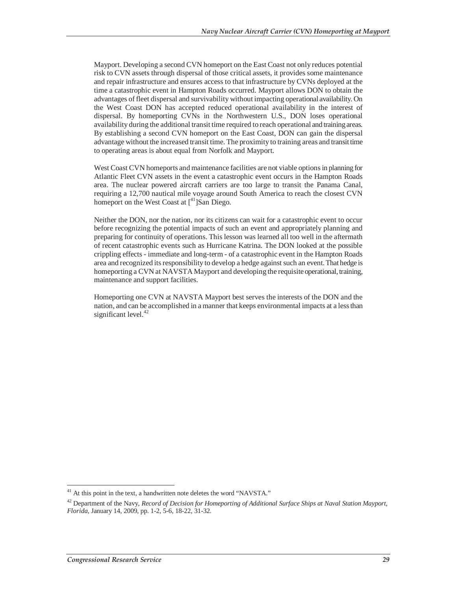Mayport. Developing a second CVN homeport on the East Coast not only reduces potential risk to CVN assets through dispersal of those critical assets, it provides some maintenance and repair infrastructure and ensures access to that infrastructure by CVNs deployed at the time a catastrophic event in Hampton Roads occurred. Mayport allows DON to obtain the advantages of fleet dispersal and survivability without impacting operational availability. On the West Coast DON has accepted reduced operational availability in the interest of dispersal. By homeporting CVNs in the Northwestern U.S., DON loses operational availability during the additional transit time required to reach operational and training areas. By establishing a second CVN homeport on the East Coast, DON can gain the dispersal advantage without the increased transit time. The proximity to training areas and transit time to operating areas is about equal from Norfolk and Mayport.

West Coast CVN homeports and maintenance facilities are not viable options in planning for Atlantic Fleet CVN assets in the event a catastrophic event occurs in the Hampton Roads area. The nuclear powered aircraft carriers are too large to transit the Panama Canal, requiring a 12,700 nautical mile voyage around South America to reach the closest CVN homeport on the West Coast at  $\int_1^{41}$ ]San Diego.

Neither the DON, nor the nation, nor its citizens can wait for a catastrophic event to occur before recognizing the potential impacts of such an event and appropriately planning and preparing for continuity of operations. This lesson was learned all too well in the aftermath of recent catastrophic events such as Hurricane Katrina. The DON looked at the possible crippling effects - immediate and long-term - of a catastrophic event in the Hampton Roads area and recognized its responsibility to develop a hedge against such an event. That hedge is homeporting a CVN at NAVSTA Mayport and developing the requisite operational, training, maintenance and support facilities.

Homeporting one CVN at NAVSTA Mayport best serves the interests of the DON and the nation, and can be accomplished in a manner that keeps environmental impacts at a less than significant level. $42$ 

 $41$  At this point in the text, a handwritten note deletes the word "NAVSTA."

<sup>42</sup> Department of the Navy, *Record of Decision for Homeporting of Additional Surface Ships at Naval Station Mayport, Florida*, January 14, 2009, pp. 1-2, 5-6, 18-22, 31-32.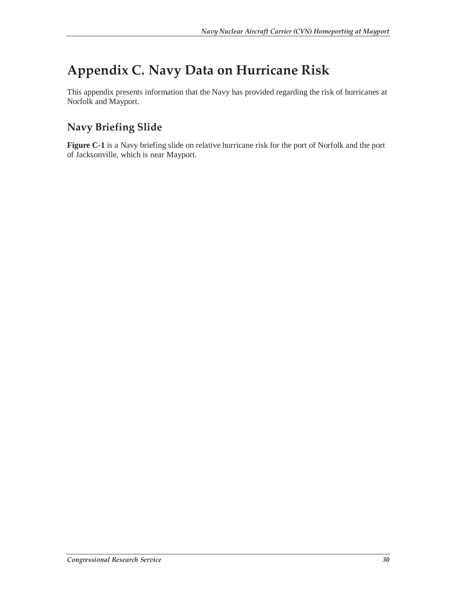# **Appendix C. Navy Data on Hurricane Risk**

This appendix presents information that the Navy has provided regarding the risk of hurricanes at Norfolk and Mayport.

## **Navy Briefing Slide**

**Figure C-1** is a Navy briefing slide on relative hurricane risk for the port of Norfolk and the port of Jacksonville, which is near Mayport.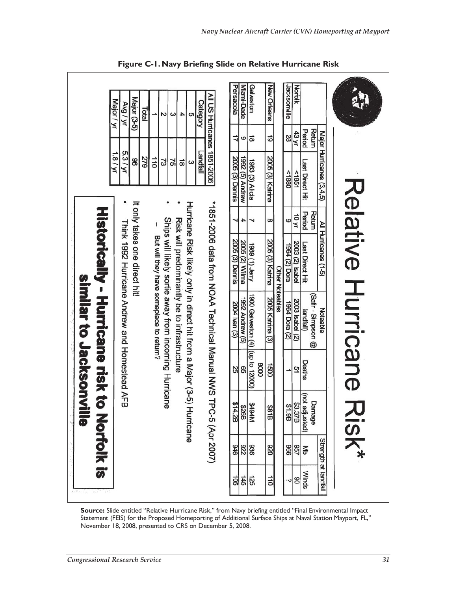|  | similar to Jacksonvi | Historically - Hurricane risk to | Major / yr<br>1.8/yr | AN / BNA<br>5.3/yr<br>Thirk 1992 Huricane Andrew and Homestead AFB | Major (3-5)<br>8<br>It only takes one direct hit! | Total<br><b>6</b> | $\vec{a}$<br>But will they have someplace to return? | Z<br>ಜ<br>Ships will likely sortie away from incoming Hurricane | ω<br>25 | 4<br>ㅎ<br>Risk will predominantly be to infrastructure | c<br>ω<br>Huricane Risk likely or hy in direct hit from a Major (3-5) Huricane | <b>Category</b><br>Landfall | All US Hurricanes 1851-2006<br>*1891-2006 data from NOAA Technical MAS 17P | Pensacola<br>11<br><b>2005 (3) Dennis</b><br>⊣<br><b>2005 (3) Dennis</b><br>2004 han (3)<br>25 | Miami-Dade<br>ဖ<br>1992 (5) Andrew<br>4<br>2005 (2) Wilma<br>(5) walput 7661<br>8 | Galveston<br>$\vec{8}$<br>1983 (3) Alicia<br><b>Ynel.</b> (1) 8861<br>1900 Galveston $(4)$ $ $ (up to 12000) | 2005 (3) Katrina<br>2005 Katrina (3)<br>0008 | <b>New Orleans</b><br>6<br>$\infty$<br>2005 (3) Katrina<br><b>Other Noteables</b><br>0091<br><b>\$81B</b> | Jacksonville<br>Norfolk<br>43 yr<br>28<br><1880<br>581<br>10 yr<br>6<br>2003 (2) Isabel<br>uog (2) t961<br>2003 Isabel (2)<br>1964 Dora (2)<br>51 | Period<br>Last Direct Hit<br>Period<br>Last Direct Hit<br>landfall)<br>Deaths | Return<br>Return<br>(Safir - Simpson @ | Major Hurricanes (3,4,5)<br>All Huricanes (1-5)<br>Noteable |  | Relative Hurricane |  |
|--|----------------------|----------------------------------|----------------------|--------------------------------------------------------------------|---------------------------------------------------|-------------------|------------------------------------------------------|-----------------------------------------------------------------|---------|--------------------------------------------------------|--------------------------------------------------------------------------------|-----------------------------|----------------------------------------------------------------------------|------------------------------------------------------------------------------------------------|-----------------------------------------------------------------------------------|--------------------------------------------------------------------------------------------------------------|----------------------------------------------|-----------------------------------------------------------------------------------------------------------|---------------------------------------------------------------------------------------------------------------------------------------------------|-------------------------------------------------------------------------------|----------------------------------------|-------------------------------------------------------------|--|--------------------|--|
|  | 言の                   | <b>Norfolk is</b>                |                      |                                                                    |                                                   |                   |                                                      |                                                                 |         |                                                        |                                                                                |                             | C-5 (Apr 2007)                                                             |                                                                                                |                                                                                   | 8494M<br>826B<br>\$14.2B                                                                                     |                                              |                                                                                                           | 83.37B<br>81.9B                                                                                                                                   | (not adjusted)                                                                | Damage                                 | Strength at landfall                                        |  | Risk*              |  |

**Figure C-1. Navy Briefing Slide on Relative Hurricane Risk** 

**Source:** Slide entitled "Relative Hurricane Risk," from Navy briefing entitled "Final Environmental Impact Statement (FEIS) for the Proposed Homeporting of Additional Surface Ships at Naval Station Mayport, FL," November 18, 2008, presented to CRS on December 5, 2008.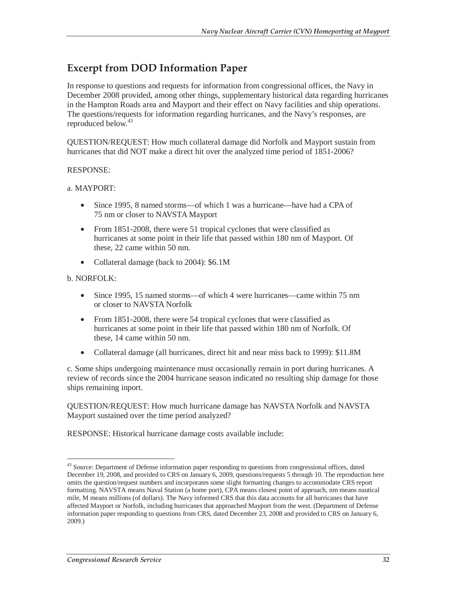## **Excerpt from DOD Information Paper**

In response to questions and requests for information from congressional offices, the Navy in December 2008 provided, among other things, supplementary historical data regarding hurricanes in the Hampton Roads area and Mayport and their effect on Navy facilities and ship operations. The questions/requests for information regarding hurricanes, and the Navy's responses, are reproduced below.<sup>43</sup>

QUESTION/REQUEST: How much collateral damage did Norfolk and Mayport sustain from hurricanes that did NOT make a direct hit over the analyzed time period of 1851-2006?

#### RESPONSE:

#### a. MAYPORT:

- Since 1995, 8 named storms—of which 1 was a hurricane—have had a CPA of 75 nm or closer to NAVSTA Mayport
- From 1851-2008, there were 51 tropical cyclones that were classified as hurricanes at some point in their life that passed within 180 nm of Mayport. Of these, 22 came within 50 nm.
- Collateral damage (back to 2004): \$6.1M

#### b. NORFOLK:

 $\overline{a}$ 

- Since 1995, 15 named storms—of which 4 were hurricanes—came within 75 nm or closer to NAVSTA Norfolk
- From 1851-2008, there were 54 tropical cyclones that were classified as hurricanes at some point in their life that passed within 180 nm of Norfolk. Of these, 14 came within 50 nm.
- Collateral damage (all hurricanes, direct hit and near miss back to 1999): \$11.8M

c. Some ships undergoing maintenance must occasionally remain in port during hurricanes. A review of records since the 2004 hurricane season indicated no resulting ship damage for those ships remaining inport.

QUESTION/REQUEST: How much hurricane damage has NAVSTA Norfolk and NAVSTA Mayport sustained over the time period analyzed?

RESPONSE: Historical hurricane damage costs available include:

<sup>&</sup>lt;sup>43</sup> Source: Department of Defense information paper responding to questions from congressional offices, dated December 19, 2008, and provided to CRS on January 6, 2009, questions/requests 5 through 10. The reproduction here omits the question/request numbers and incorporates some slight formatting changes to accommodate CRS report formatting. NAVSTA means Naval Station (a home port), CPA means closest point of approach, nm means nautical mile, M means millions (of dollars). The Navy informed CRS that this data accounts for all hurricanes that have affected Mayport or Norfolk, including hurricanes that approached Mayport from the west. (Department of Defense information paper responding to questions from CRS, dated December 23, 2008 and provided to CRS on January 6, 2009.)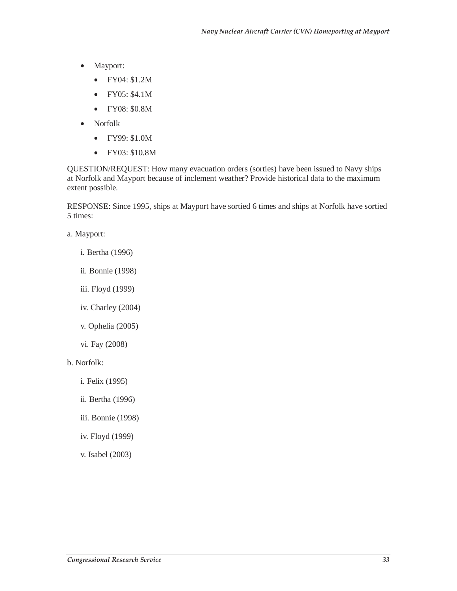- Mayport:
	- FY04: \$1.2M
	- FY05: \$4.1M
	- FY08: \$0.8M
- Norfolk
	- FY99: \$1.0M
	- FY03: \$10.8M

QUESTION/REQUEST: How many evacuation orders (sorties) have been issued to Navy ships at Norfolk and Mayport because of inclement weather? Provide historical data to the maximum extent possible.

RESPONSE: Since 1995, ships at Mayport have sortied 6 times and ships at Norfolk have sortied 5 times:

a. Mayport:

- i. Bertha (1996)
- ii. Bonnie (1998)
- iii. Floyd (1999)
- iv. Charley (2004)
- v. Ophelia (2005)
- vi. Fay (2008)
- b. Norfolk:
	- i. Felix (1995)
	- ii. Bertha (1996)
	- iii. Bonnie (1998)
	- iv. Floyd (1999)
	- v. Isabel (2003)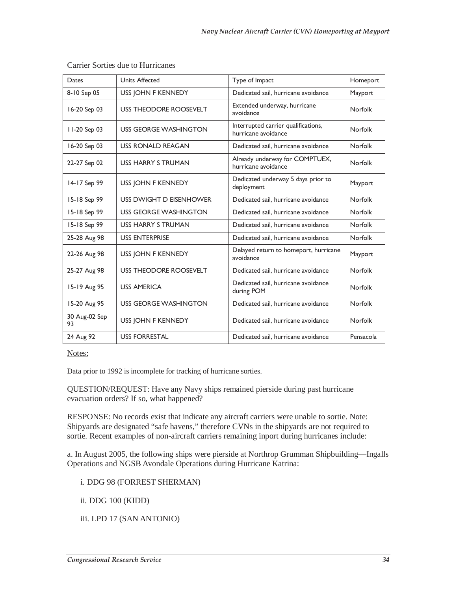| Dates               | <b>Units Affected</b>         | Type of Impact                                             | Homeport       |  |  |
|---------------------|-------------------------------|------------------------------------------------------------|----------------|--|--|
| 8-10 Sep 05         | USS JOHN F KENNEDY            | Dedicated sail, hurricane avoidance                        | Mayport        |  |  |
| 16-20 Sep 03        | <b>USS THEODORE ROOSEVELT</b> | Extended underway, hurricane<br>avoidance                  | <b>Norfolk</b> |  |  |
| $11-20$ Sep 03      | USS GEORGE WASHINGTON         | Interrupted carrier qualifications,<br>hurricane avoidance | <b>Norfolk</b> |  |  |
| 16-20 Sep 03        | <b>USS RONALD REAGAN</b>      | Dedicated sail, hurricane avoidance                        | Norfolk        |  |  |
| 22-27 Sep 02        | <b>USS HARRY S TRUMAN</b>     | Already underway for COMPTUEX,<br>hurricane avoidance      | <b>Norfolk</b> |  |  |
| 14-17 Sep 99        | USS JOHN F KENNEDY            | Dedicated underway 5 days prior to<br>deployment           | Mayport        |  |  |
| 15-18 Sep 99        | USS DWIGHT D EISENHOWER       | Dedicated sail, hurricane avoidance                        | <b>Norfolk</b> |  |  |
| 15-18 Sep 99        | <b>USS GEORGE WASHINGTON</b>  | Dedicated sail, hurricane avoidance                        | Norfolk        |  |  |
| 15-18 Sep 99        | <b>USS HARRY S TRUMAN</b>     | Dedicated sail, hurricane avoidance                        | Norfolk        |  |  |
| 25-28 Aug 98        | <b>USS ENTERPRISE</b>         | Dedicated sail, hurricane avoidance                        | Norfolk        |  |  |
| 22-26 Aug 98        | USS JOHN F KENNEDY            | Delayed return to homeport, hurricane<br>avoidance         | Mayport        |  |  |
| 25-27 Aug 98        | <b>USS THEODORE ROOSEVELT</b> | Dedicated sail, hurricane avoidance                        | <b>Norfolk</b> |  |  |
| 15-19 Aug 95        | <b>USS AMERICA</b>            | Dedicated sail, hurricane avoidance<br>during POM          | <b>Norfolk</b> |  |  |
| 15-20 Aug 95        | <b>USS GEORGE WASHINGTON</b>  | Dedicated sail, hurricane avoidance                        | <b>Norfolk</b> |  |  |
| 30 Aug-02 Sep<br>93 | USS JOHN F KENNEDY            | Dedicated sail, hurricane avoidance                        | <b>Norfolk</b> |  |  |
| 24 Aug 92           | <b>USS FORRESTAL</b>          | Dedicated sail, hurricane avoidance                        | Pensacola      |  |  |

Carrier Sorties due to Hurricanes

Notes:

Data prior to 1992 is incomplete for tracking of hurricane sorties.

QUESTION/REQUEST: Have any Navy ships remained pierside during past hurricane evacuation orders? If so, what happened?

RESPONSE: No records exist that indicate any aircraft carriers were unable to sortie. Note: Shipyards are designated "safe havens," therefore CVNs in the shipyards are not required to sortie. Recent examples of non-aircraft carriers remaining inport during hurricanes include:

a. In August 2005, the following ships were pierside at Northrop Grumman Shipbuilding—Ingalls Operations and NGSB Avondale Operations during Hurricane Katrina:

i. DDG 98 (FORREST SHERMAN)

ii. DDG 100 (KIDD)

iii. LPD 17 (SAN ANTONIO)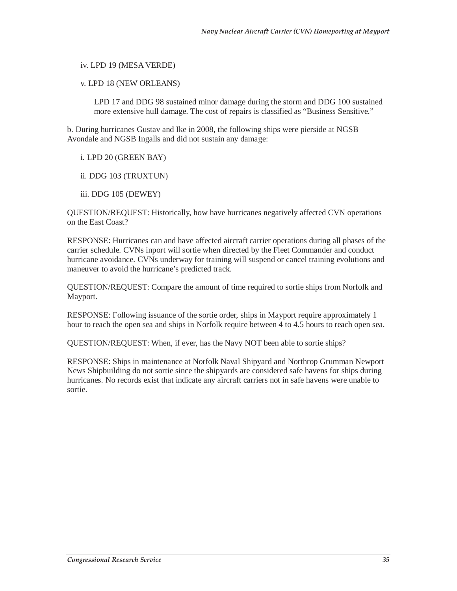iv. LPD 19 (MESA VERDE)

v. LPD 18 (NEW ORLEANS)

LPD 17 and DDG 98 sustained minor damage during the storm and DDG 100 sustained more extensive hull damage. The cost of repairs is classified as "Business Sensitive."

b. During hurricanes Gustav and Ike in 2008, the following ships were pierside at NGSB Avondale and NGSB Ingalls and did not sustain any damage:

i. LPD 20 (GREEN BAY)

ii. DDG 103 (TRUXTUN)

iii. DDG 105 (DEWEY)

QUESTION/REQUEST: Historically, how have hurricanes negatively affected CVN operations on the East Coast?

RESPONSE: Hurricanes can and have affected aircraft carrier operations during all phases of the carrier schedule. CVNs inport will sortie when directed by the Fleet Commander and conduct hurricane avoidance. CVNs underway for training will suspend or cancel training evolutions and maneuver to avoid the hurricane's predicted track.

QUESTION/REQUEST: Compare the amount of time required to sortie ships from Norfolk and Mayport.

RESPONSE: Following issuance of the sortie order, ships in Mayport require approximately 1 hour to reach the open sea and ships in Norfolk require between 4 to 4.5 hours to reach open sea.

QUESTION/REQUEST: When, if ever, has the Navy NOT been able to sortie ships?

RESPONSE: Ships in maintenance at Norfolk Naval Shipyard and Northrop Grumman Newport News Shipbuilding do not sortie since the shipyards are considered safe havens for ships during hurricanes. No records exist that indicate any aircraft carriers not in safe havens were unable to sortie.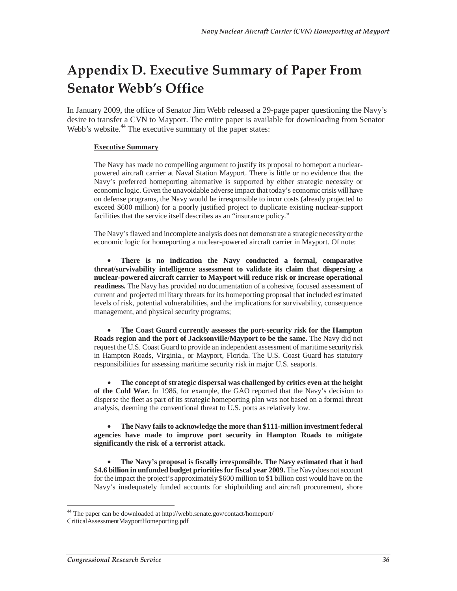# **Appendix D. Executive Summary of Paper From Senator Webb's Office**

In January 2009, the office of Senator Jim Webb released a 29-page paper questioning the Navy's desire to transfer a CVN to Mayport. The entire paper is available for downloading from Senator Webb's website.<sup>44</sup> The executive summary of the paper states:

#### **Executive Summary**

The Navy has made no compelling argument to justify its proposal to homeport a nuclearpowered aircraft carrier at Naval Station Mayport. There is little or no evidence that the Navy's preferred homeporting alternative is supported by either strategic necessity or economic logic. Given the unavoidable adverse impact that today's economic crisis will have on defense programs, the Navy would be irresponsible to incur costs (already projected to exceed \$600 million) for a poorly justified project to duplicate existing nuclear-support facilities that the service itself describes as an "insurance policy."

The Navy's flawed and incomplete analysis does not demonstrate a strategic necessity or the economic logic for homeporting a nuclear-powered aircraft carrier in Mayport. Of note:

• **There is no indication the Navy conducted a formal, comparative threat/survivability intelligence assessment to validate its claim that dispersing a nuclear-powered aircraft carrier to Mayport will reduce risk or increase operational readiness.** The Navy has provided no documentation of a cohesive, focused assessment of current and projected military threats for its homeporting proposal that included estimated levels of risk, potential vulnerabilities, and the implications for survivability, consequence management, and physical security programs;

• **The Coast Guard currently assesses the port-security risk for the Hampton Roads region and the port of Jacksonville/Mayport to be the same.** The Navy did not request the U.S. Coast Guard to provide an independent assessment of maritime security risk in Hampton Roads, Virginia., or Mayport, Florida. The U.S. Coast Guard has statutory responsibilities for assessing maritime security risk in major U.S. seaports.

• **The concept of strategic dispersal was challenged by critics even at the height of the Cold War.** In 1986, for example, the GAO reported that the Navy's decision to disperse the fleet as part of its strategic homeporting plan was not based on a formal threat analysis, deeming the conventional threat to U.S. ports as relatively low.

• **The Navy fails to acknowledge the more than \$111-million investment federal agencies have made to improve port security in Hampton Roads to mitigate significantly the risk of a terrorist attack.**

• **The Navy's proposal is fiscally irresponsible. The Navy estimated that it had**  \$4.6 billion in unfunded budget priorities for fiscal year 2009. The Navy does not account for the impact the project's approximately \$600 million to \$1 billion cost would have on the Navy's inadequately funded accounts for shipbuilding and aircraft procurement, shore

<sup>&</sup>lt;sup>44</sup> The paper can be downloaded at http://webb.senate.gov/contact/homeport/ CriticalAssessmentMayportHomeporting.pdf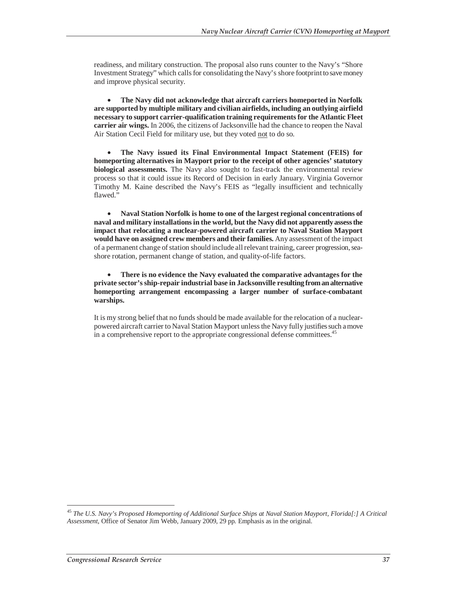readiness, and military construction. The proposal also runs counter to the Navy's "Shore Investment Strategy" which calls for consolidating the Navy's shore footprint to save money and improve physical security.

• **The Navy did not acknowledge that aircraft carriers homeported in Norfolk are supported by multiple military and civilian airfields, including an outlying airfield necessary to support carrier-qualification training requirements for the Atlantic Fleet carrier air wings.** In 2006, the citizens of Jacksonville had the chance to reopen the Naval Air Station Cecil Field for military use, but they voted not to do so.

• **The Navy issued its Final Environmental Impact Statement (FEIS) for homeporting alternatives in Mayport prior to the receipt of other agencies' statutory biological assessments.** The Navy also sought to fast-track the environmental review process so that it could issue its Record of Decision in early January. Virginia Governor Timothy M. Kaine described the Navy's FEIS as "legally insufficient and technically flawed."

• **Naval Station Norfolk is home to one of the largest regional concentrations of naval and military installations in the world, but the Navy did not apparently assess the impact that relocating a nuclear-powered aircraft carrier to Naval Station Mayport would have on assigned crew members and their families.** Any assessment of the impact of a permanent change of station should include all relevant training, career progression, seashore rotation, permanent change of station, and quality-of-life factors.

#### • **There is no evidence the Navy evaluated the comparative advantages for the private sector's ship-repair industrial base in Jacksonville resulting from an alternative homeporting arrangement encompassing a larger number of surface-combatant warships.**

It is my strong belief that no funds should be made available for the relocation of a nuclearpowered aircraft carrier to Naval Station Mayport unless the Navy fully justifies such a move in a comprehensive report to the appropriate congressional defense committees.<sup>45</sup>

<sup>45</sup> *The U.S. Navy's Proposed Homeporting of Additional Surface Ships at Naval Station Mayport, Florida[:] A Critical Assessment*, Office of Senator Jim Webb, January 2009, 29 pp. Emphasis as in the original.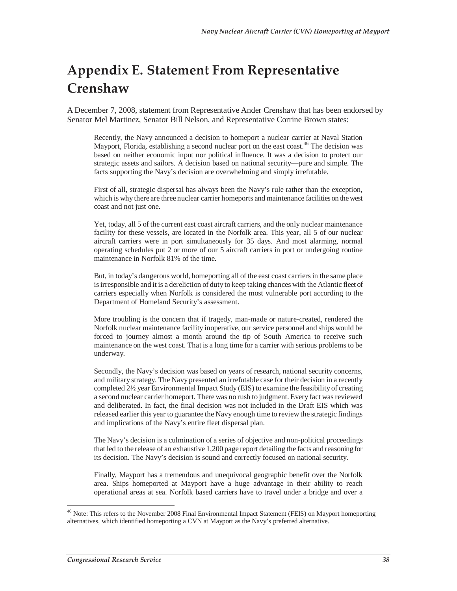# **Appendix E. Statement From Representative Crenshaw**

A December 7, 2008, statement from Representative Ander Crenshaw that has been endorsed by Senator Mel Martinez, Senator Bill Nelson, and Representative Corrine Brown states:

Recently, the Navy announced a decision to homeport a nuclear carrier at Naval Station Mayport, Florida, establishing a second nuclear port on the east coast.<sup>46</sup> The decision was based on neither economic input nor political influence. It was a decision to protect our strategic assets and sailors. A decision based on national security—pure and simple. The facts supporting the Navy's decision are overwhelming and simply irrefutable.

First of all, strategic dispersal has always been the Navy's rule rather than the exception, which is why there are three nuclear carrier homeports and maintenance facilities on the west coast and not just one.

Yet, today, all 5 of the current east coast aircraft carriers, and the only nuclear maintenance facility for these vessels, are located in the Norfolk area. This year, all 5 of our nuclear aircraft carriers were in port simultaneously for 35 days. And most alarming, normal operating schedules put 2 or more of our 5 aircraft carriers in port or undergoing routine maintenance in Norfolk 81% of the time.

But, in today's dangerous world, homeporting all of the east coast carriers in the same place is irresponsible and it is a dereliction of duty to keep taking chances with the Atlantic fleet of carriers especially when Norfolk is considered the most vulnerable port according to the Department of Homeland Security's assessment.

More troubling is the concern that if tragedy, man-made or nature-created, rendered the Norfolk nuclear maintenance facility inoperative, our service personnel and ships would be forced to journey almost a month around the tip of South America to receive such maintenance on the west coast. That is a long time for a carrier with serious problems to be underway.

Secondly, the Navy's decision was based on years of research, national security concerns, and military strategy. The Navy presented an irrefutable case for their decision in a recently completed 2½ year Environmental Impact Study (EIS) to examine the feasibility of creating a second nuclear carrier homeport. There was no rush to judgment. Every fact was reviewed and deliberated. In fact, the final decision was not included in the Draft EIS which was released earlier this year to guarantee the Navy enough time to review the strategic findings and implications of the Navy's entire fleet dispersal plan.

The Navy's decision is a culmination of a series of objective and non-political proceedings that led to the release of an exhaustive 1,200 page report detailing the facts and reasoning for its decision. The Navy's decision is sound and correctly focused on national security.

Finally, Mayport has a tremendous and unequivocal geographic benefit over the Norfolk area. Ships homeported at Mayport have a huge advantage in their ability to reach operational areas at sea. Norfolk based carriers have to travel under a bridge and over a

<sup>&</sup>lt;sup>46</sup> Note: This refers to the November 2008 Final Environmental Impact Statement (FEIS) on Mayport homeporting alternatives, which identified homeporting a CVN at Mayport as the Navy's preferred alternative.